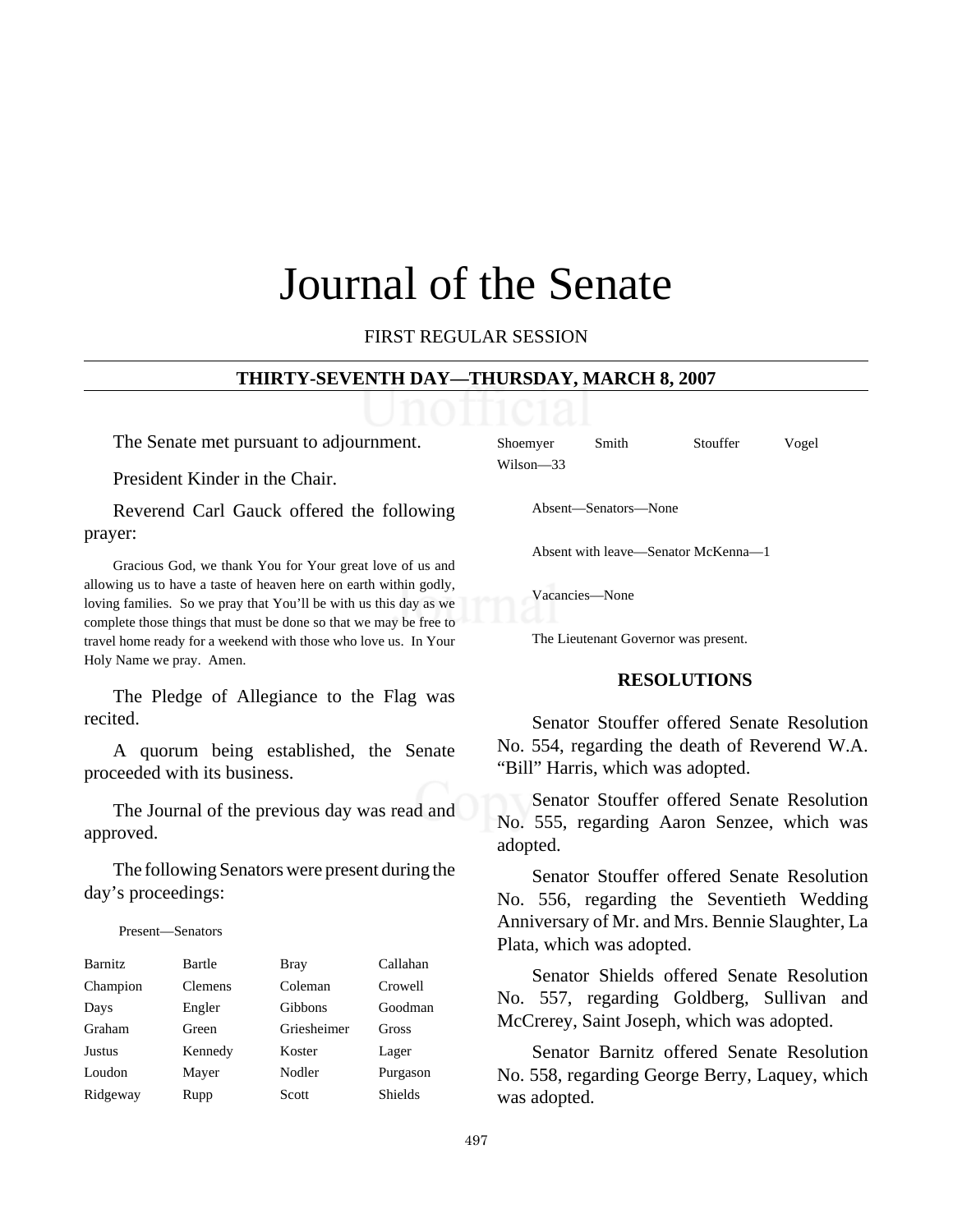# Journal of the Senate

FIRST REGULAR SESSION

#### **THIRTY-SEVENTH DAY—THURSDAY, MARCH 8, 2007**

The Senate met pursuant to adjournment.

President Kinder in the Chair.

Reverend Carl Gauck offered the following prayer:

Gracious God, we thank You for Your great love of us and allowing us to have a taste of heaven here on earth within godly, loving families. So we pray that You'll be with us this day as we complete those things that must be done so that we may be free to travel home ready for a weekend with those who love us. In Your Holy Name we pray. Amen.

The Pledge of Allegiance to the Flag was recited.

A quorum being established, the Senate proceeded with its business.

The Journal of the previous day was read and approved.

The following Senators were present during the day's proceedings:

Present—Senators

| <b>Barnitz</b> | Bartle         | <b>Bray</b>    | Callahan       |
|----------------|----------------|----------------|----------------|
| Champion       | <b>Clemens</b> | Coleman        | Crowell        |
| Days           | Engler         | <b>Gibbons</b> | Goodman        |
| Graham         | Green          | Griesheimer    | Gross          |
| <b>Justus</b>  | Kennedy        | Koster         | Lager          |
| Loudon         | Mayer          | Nodler         | Purgason       |
| Ridgeway       | Rupp           | Scott          | <b>Shields</b> |

Shoemyer Smith Stouffer Vogel Wilson—33

Absent—Senators—None

Absent with leave—Senator McKenna—1

Vacancies—None

The Lieutenant Governor was present.

#### **RESOLUTIONS**

Senator Stouffer offered Senate Resolution No. 554, regarding the death of Reverend W.A. "Bill" Harris, which was adopted.

Senator Stouffer offered Senate Resolution No. 555, regarding Aaron Senzee, which was adopted.

Senator Stouffer offered Senate Resolution No. 556, regarding the Seventieth Wedding Anniversary of Mr. and Mrs. Bennie Slaughter, La Plata, which was adopted.

Senator Shields offered Senate Resolution No. 557, regarding Goldberg, Sullivan and McCrerey, Saint Joseph, which was adopted.

Senator Barnitz offered Senate Resolution No. 558, regarding George Berry, Laquey, which was adopted.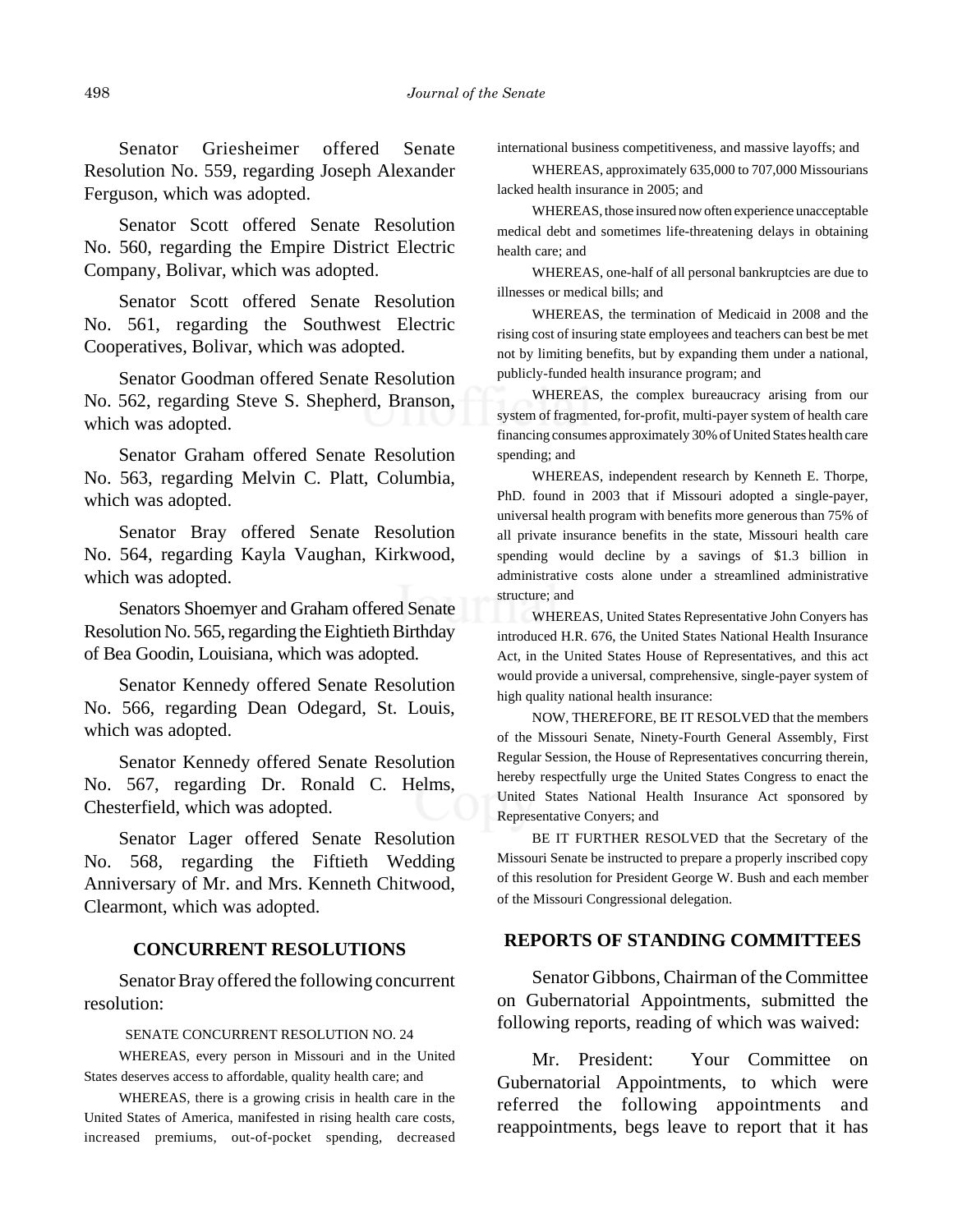Senator Griesheimer offered Senate Resolution No. 559, regarding Joseph Alexander Ferguson, which was adopted.

Senator Scott offered Senate Resolution No. 560, regarding the Empire District Electric Company, Bolivar, which was adopted.

Senator Scott offered Senate Resolution No. 561, regarding the Southwest Electric Cooperatives, Bolivar, which was adopted.

Senator Goodman offered Senate Resolution No. 562, regarding Steve S. Shepherd, Branson, which was adopted.

Senator Graham offered Senate Resolution No. 563, regarding Melvin C. Platt, Columbia, which was adopted.

Senator Bray offered Senate Resolution No. 564, regarding Kayla Vaughan, Kirkwood, which was adopted.

Senators Shoemyer and Graham offered Senate Resolution No. 565, regarding the Eightieth Birthday of Bea Goodin, Louisiana, which was adopted.

Senator Kennedy offered Senate Resolution No. 566, regarding Dean Odegard, St. Louis, which was adopted.

Senator Kennedy offered Senate Resolution No. 567, regarding Dr. Ronald C. Helms, Chesterfield, which was adopted.

Senator Lager offered Senate Resolution No. 568, regarding the Fiftieth Wedding Anniversary of Mr. and Mrs. Kenneth Chitwood, Clearmont, which was adopted.

# **CONCURRENT RESOLUTIONS**

Senator Bray offered the following concurrent resolution:

#### SENATE CONCURRENT RESOLUTION NO. 24

WHEREAS, every person in Missouri and in the United States deserves access to affordable, quality health care; and

WHEREAS, there is a growing crisis in health care in the United States of America, manifested in rising health care costs, increased premiums, out-of-pocket spending, decreased

international business competitiveness, and massive layoffs; and

WHEREAS, approximately 635,000 to 707,000 Missourians lacked health insurance in 2005; and

WHEREAS, those insured now often experience unacceptable medical debt and sometimes life-threatening delays in obtaining health care; and

WHEREAS, one-half of all personal bankruptcies are due to illnesses or medical bills; and

WHEREAS, the termination of Medicaid in 2008 and the rising cost of insuring state employees and teachers can best be met not by limiting benefits, but by expanding them under a national, publicly-funded health insurance program; and

WHEREAS, the complex bureaucracy arising from our system of fragmented, for-profit, multi-payer system of health care financing consumes approximately 30% of United States health care spending; and

WHEREAS, independent research by Kenneth E. Thorpe, PhD. found in 2003 that if Missouri adopted a single-payer, universal health program with benefits more generous than 75% of all private insurance benefits in the state, Missouri health care spending would decline by a savings of \$1.3 billion in administrative costs alone under a streamlined administrative structure; and

WHEREAS, United States Representative John Conyers has introduced H.R. 676, the United States National Health Insurance Act, in the United States House of Representatives, and this act would provide a universal, comprehensive, single-payer system of high quality national health insurance:

NOW, THEREFORE, BE IT RESOLVED that the members of the Missouri Senate, Ninety-Fourth General Assembly, First Regular Session, the House of Representatives concurring therein, hereby respectfully urge the United States Congress to enact the United States National Health Insurance Act sponsored by Representative Conyers; and

BE IT FURTHER RESOLVED that the Secretary of the Missouri Senate be instructed to prepare a properly inscribed copy of this resolution for President George W. Bush and each member of the Missouri Congressional delegation.

#### **REPORTS OF STANDING COMMITTEES**

Senator Gibbons, Chairman of the Committee on Gubernatorial Appointments, submitted the following reports, reading of which was waived:

Mr. President: Your Committee on Gubernatorial Appointments, to which were referred the following appointments and reappointments, begs leave to report that it has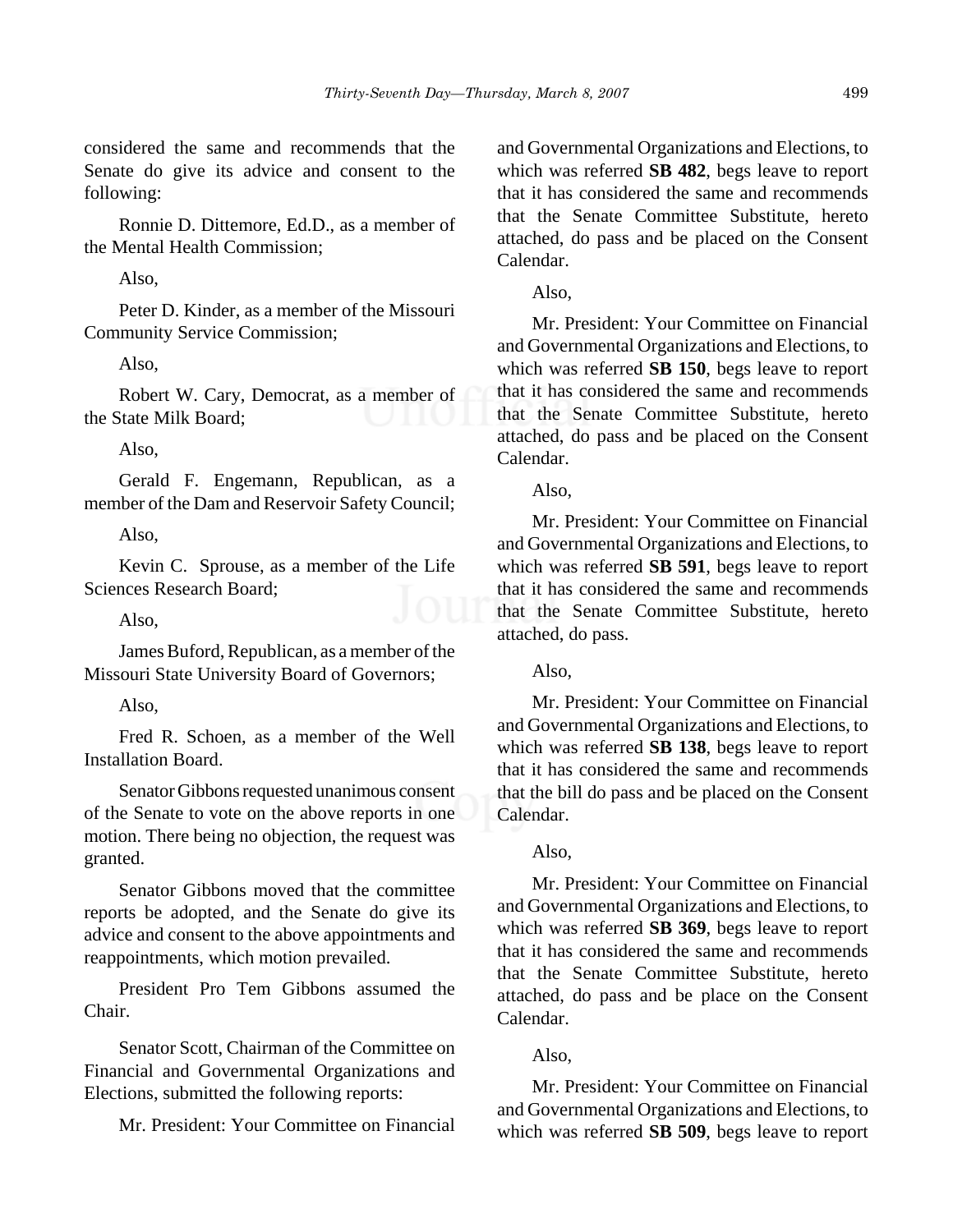considered the same and recommends that the Senate do give its advice and consent to the following:

Ronnie D. Dittemore, Ed.D., as a member of the Mental Health Commission;

Also,

Peter D. Kinder, as a member of the Missouri Community Service Commission;

Also,

Robert W. Cary, Democrat, as a member of the State Milk Board;

Also,

Gerald F. Engemann, Republican, as a member of the Dam and Reservoir Safety Council;

Also,

Kevin C. Sprouse, as a member of the Life Sciences Research Board;

Also,

James Buford, Republican, as a member of the Missouri State University Board of Governors;

Also,

Fred R. Schoen, as a member of the Well Installation Board.

Senator Gibbons requested unanimous consent of the Senate to vote on the above reports in one motion. There being no objection, the request was granted.

Senator Gibbons moved that the committee reports be adopted, and the Senate do give its advice and consent to the above appointments and reappointments, which motion prevailed.

President Pro Tem Gibbons assumed the Chair.

Senator Scott, Chairman of the Committee on Financial and Governmental Organizations and Elections, submitted the following reports:

Mr. President: Your Committee on Financial

and Governmental Organizations and Elections, to which was referred **SB 482**, begs leave to report that it has considered the same and recommends that the Senate Committee Substitute, hereto attached, do pass and be placed on the Consent Calendar.

Also,

Mr. President: Your Committee on Financial and Governmental Organizations and Elections, to which was referred **SB 150**, begs leave to report that it has considered the same and recommends that the Senate Committee Substitute, hereto attached, do pass and be placed on the Consent Calendar.

Also,

Mr. President: Your Committee on Financial and Governmental Organizations and Elections, to which was referred **SB 591**, begs leave to report that it has considered the same and recommends that the Senate Committee Substitute, hereto attached, do pass.

Also,

Mr. President: Your Committee on Financial and Governmental Organizations and Elections, to which was referred **SB 138**, begs leave to report that it has considered the same and recommends that the bill do pass and be placed on the Consent Calendar.

Also,

Mr. President: Your Committee on Financial and Governmental Organizations and Elections, to which was referred **SB 369**, begs leave to report that it has considered the same and recommends that the Senate Committee Substitute, hereto attached, do pass and be place on the Consent Calendar.

Also,

Mr. President: Your Committee on Financial and Governmental Organizations and Elections, to which was referred **SB 509**, begs leave to report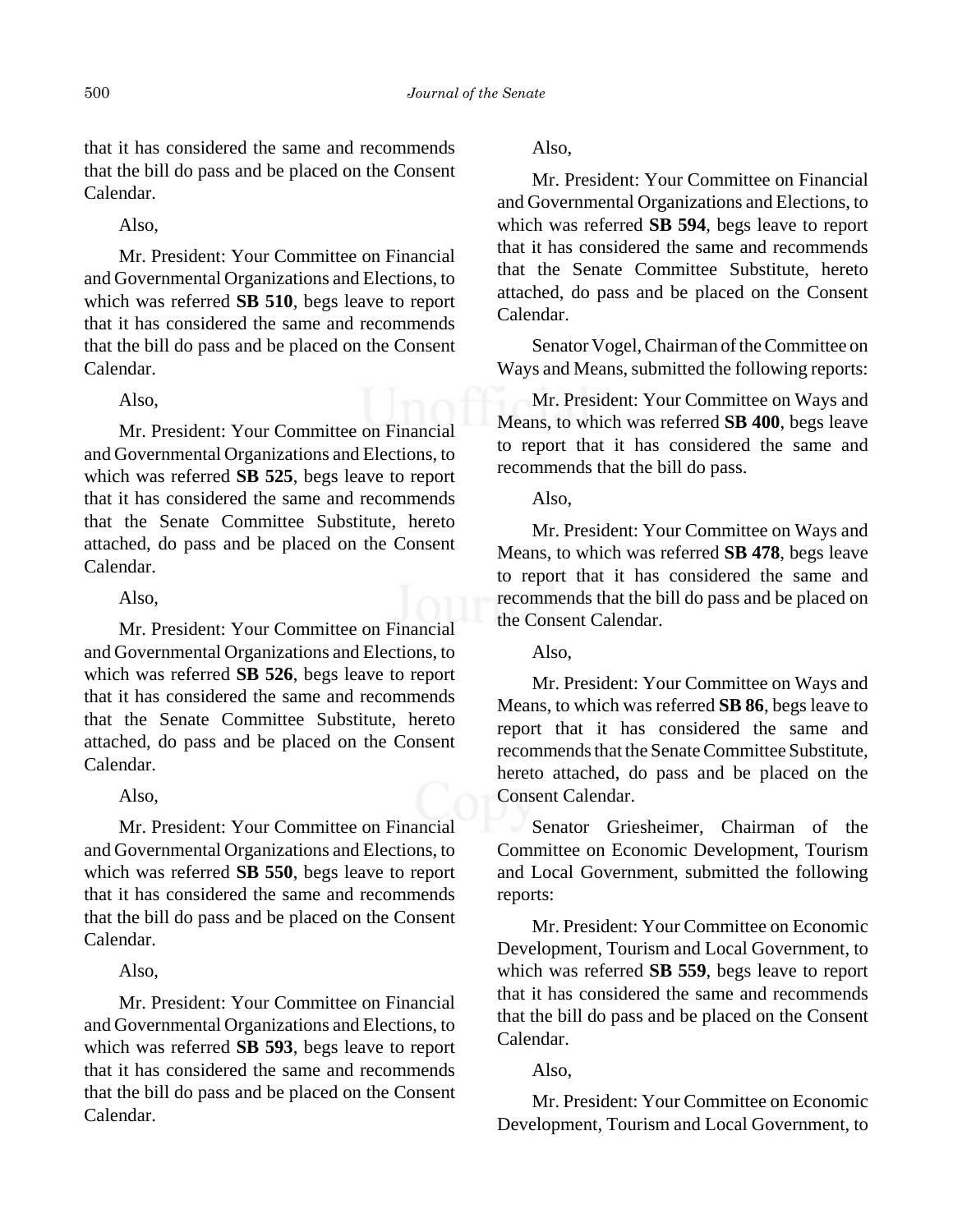that it has considered the same and recommends that the bill do pass and be placed on the Consent Calendar.

Also,

Mr. President: Your Committee on Financial and Governmental Organizations and Elections, to which was referred **SB 510**, begs leave to report that it has considered the same and recommends that the bill do pass and be placed on the Consent Calendar.

#### Also,

Mr. President: Your Committee on Financial and Governmental Organizations and Elections, to which was referred **SB 525**, begs leave to report that it has considered the same and recommends that the Senate Committee Substitute, hereto attached, do pass and be placed on the Consent Calendar.

# Also,

Mr. President: Your Committee on Financial and Governmental Organizations and Elections, to which was referred **SB 526**, begs leave to report that it has considered the same and recommends that the Senate Committee Substitute, hereto attached, do pass and be placed on the Consent Calendar.

#### Also,

Mr. President: Your Committee on Financial and Governmental Organizations and Elections, to which was referred **SB 550**, begs leave to report that it has considered the same and recommends that the bill do pass and be placed on the Consent Calendar.

# Also,

Mr. President: Your Committee on Financial and Governmental Organizations and Elections, to which was referred **SB 593**, begs leave to report that it has considered the same and recommends that the bill do pass and be placed on the Consent Calendar.

Also,

Mr. President: Your Committee on Financial and Governmental Organizations and Elections, to which was referred **SB 594**, begs leave to report that it has considered the same and recommends that the Senate Committee Substitute, hereto attached, do pass and be placed on the Consent Calendar.

Senator Vogel, Chairman of the Committee on Ways and Means, submitted the following reports:

Mr. President: Your Committee on Ways and Means, to which was referred **SB 400**, begs leave to report that it has considered the same and recommends that the bill do pass.

Also,

Mr. President: Your Committee on Ways and Means, to which was referred **SB 478**, begs leave to report that it has considered the same and recommends that the bill do pass and be placed on the Consent Calendar.

Also,

Mr. President: Your Committee on Ways and Means, to which was referred **SB 86**, begs leave to report that it has considered the same and recommends that the Senate Committee Substitute, hereto attached, do pass and be placed on the Consent Calendar.

Senator Griesheimer, Chairman of the Committee on Economic Development, Tourism and Local Government, submitted the following reports:

Mr. President: Your Committee on Economic Development, Tourism and Local Government, to which was referred **SB 559**, begs leave to report that it has considered the same and recommends that the bill do pass and be placed on the Consent Calendar.

Also,

Mr. President: Your Committee on Economic Development, Tourism and Local Government, to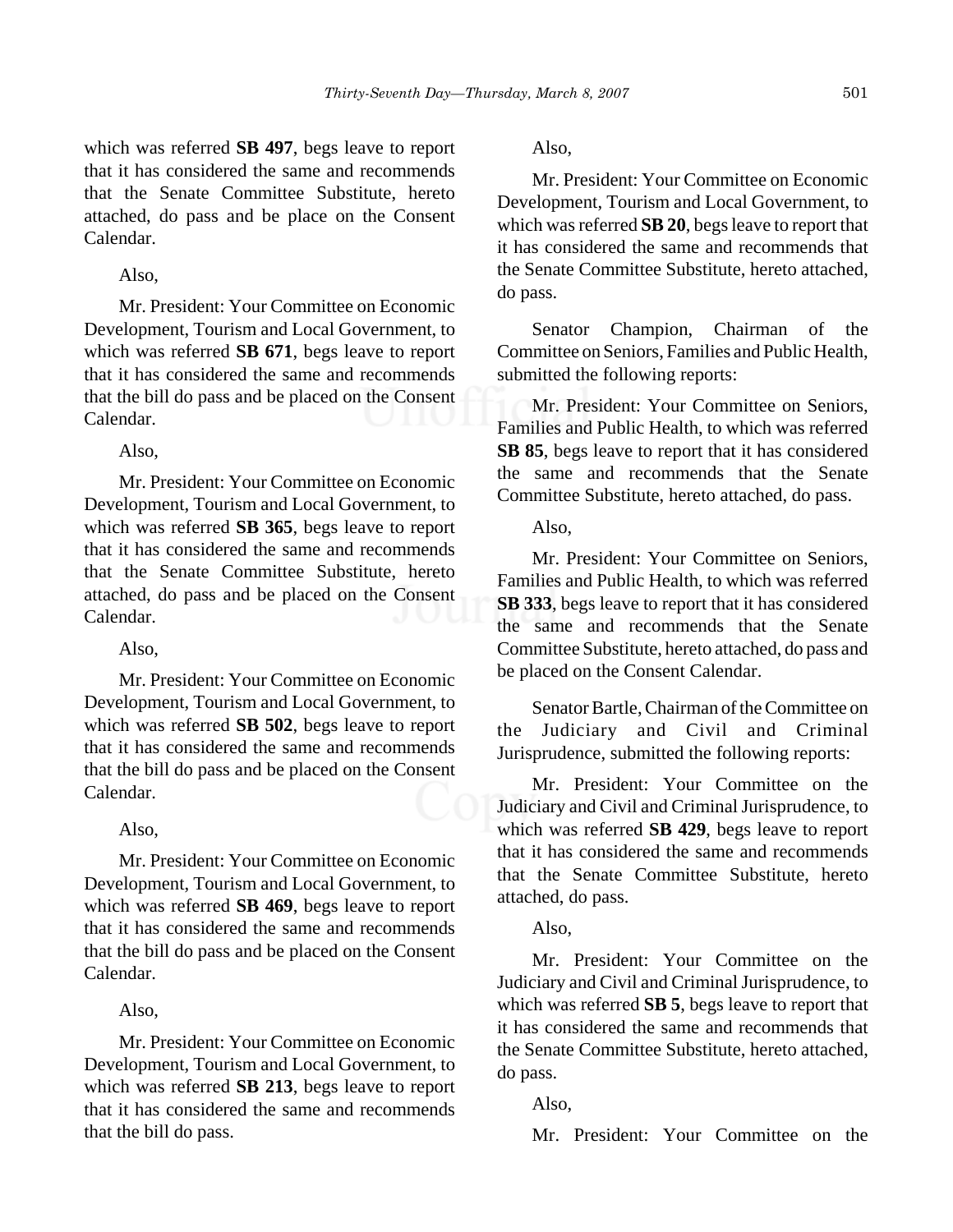which was referred **SB 497**, begs leave to report that it has considered the same and recommends that the Senate Committee Substitute, hereto attached, do pass and be place on the Consent Calendar.

# Also,

Mr. President: Your Committee on Economic Development, Tourism and Local Government, to which was referred **SB 671**, begs leave to report that it has considered the same and recommends that the bill do pass and be placed on the Consent Calendar.

Also,

Mr. President: Your Committee on Economic Development, Tourism and Local Government, to which was referred **SB 365**, begs leave to report that it has considered the same and recommends that the Senate Committee Substitute, hereto attached, do pass and be placed on the Consent Calendar.

Also,

Mr. President: Your Committee on Economic Development, Tourism and Local Government, to which was referred **SB 502**, begs leave to report that it has considered the same and recommends that the bill do pass and be placed on the Consent Calendar.

# Also,

Mr. President: Your Committee on Economic Development, Tourism and Local Government, to which was referred **SB 469**, begs leave to report that it has considered the same and recommends that the bill do pass and be placed on the Consent Calendar.

#### Also,

Mr. President: Your Committee on Economic Development, Tourism and Local Government, to which was referred **SB 213**, begs leave to report that it has considered the same and recommends that the bill do pass.

Also,

Mr. President: Your Committee on Economic Development, Tourism and Local Government, to which was referred **SB 20**, begs leave to report that it has considered the same and recommends that the Senate Committee Substitute, hereto attached, do pass.

Senator Champion, Chairman of the Committee on Seniors, Families and Public Health, submitted the following reports:

Mr. President: Your Committee on Seniors, Families and Public Health, to which was referred **SB 85**, begs leave to report that it has considered the same and recommends that the Senate Committee Substitute, hereto attached, do pass.

Also,

Mr. President: Your Committee on Seniors, Families and Public Health, to which was referred **SB 333**, begs leave to report that it has considered the same and recommends that the Senate Committee Substitute, hereto attached, do pass and be placed on the Consent Calendar.

Senator Bartle, Chairman of the Committee on the Judiciary and Civil and Criminal Jurisprudence, submitted the following reports:

Mr. President: Your Committee on the Judiciary and Civil and Criminal Jurisprudence, to which was referred **SB 429**, begs leave to report that it has considered the same and recommends that the Senate Committee Substitute, hereto attached, do pass.

# Also,

Mr. President: Your Committee on the Judiciary and Civil and Criminal Jurisprudence, to which was referred **SB 5**, begs leave to report that it has considered the same and recommends that the Senate Committee Substitute, hereto attached, do pass.

Also,

Mr. President: Your Committee on the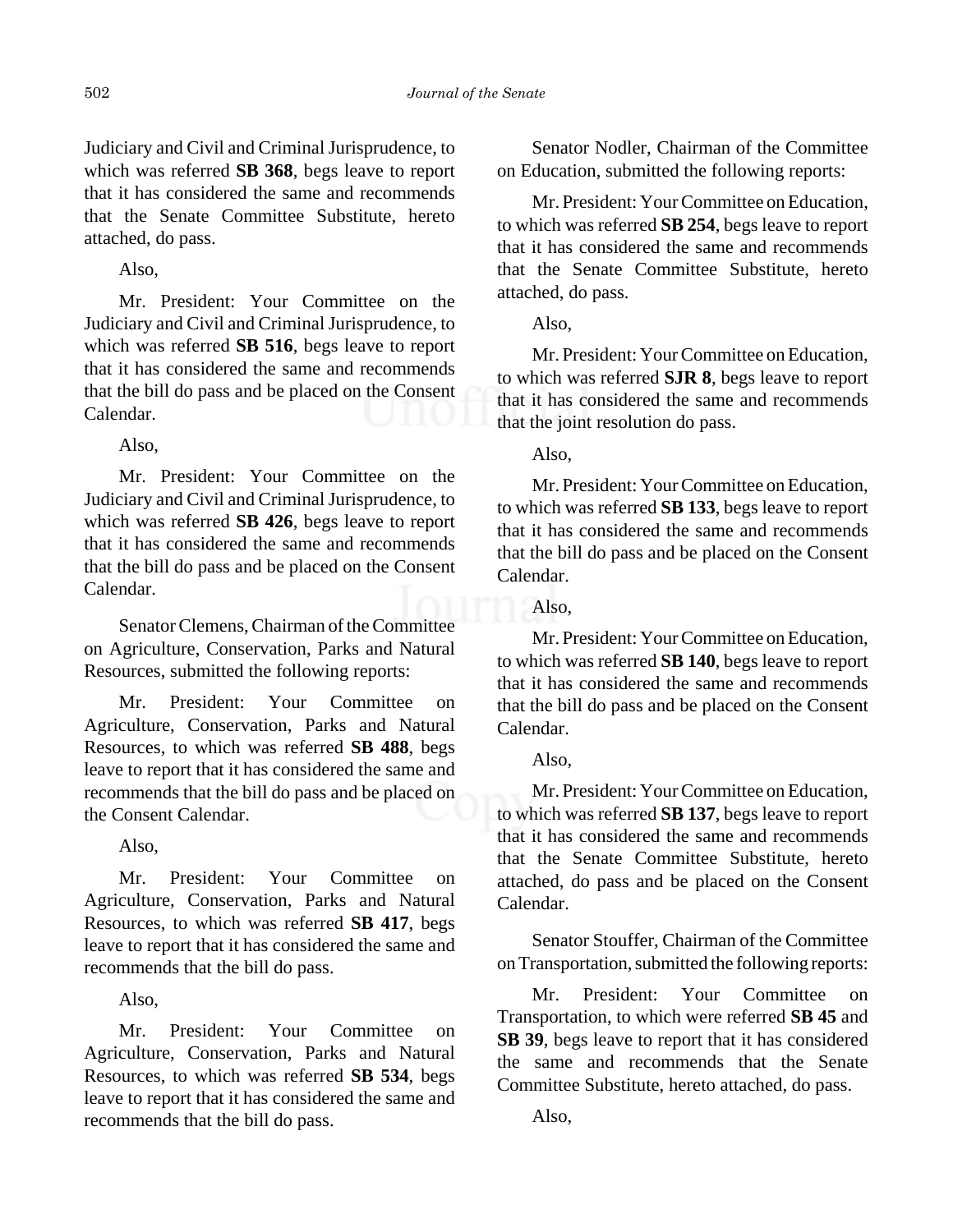Judiciary and Civil and Criminal Jurisprudence, to which was referred **SB 368**, begs leave to report that it has considered the same and recommends that the Senate Committee Substitute, hereto attached, do pass.

Also,

Mr. President: Your Committee on the Judiciary and Civil and Criminal Jurisprudence, to which was referred **SB 516**, begs leave to report that it has considered the same and recommends that the bill do pass and be placed on the Consent Calendar.

Also,

Mr. President: Your Committee on the Judiciary and Civil and Criminal Jurisprudence, to which was referred **SB 426**, begs leave to report that it has considered the same and recommends that the bill do pass and be placed on the Consent Calendar.

Senator Clemens, Chairman of the Committee on Agriculture, Conservation, Parks and Natural Resources, submitted the following reports:

Mr. President: Your Committee on Agriculture, Conservation, Parks and Natural Resources, to which was referred **SB 488**, begs leave to report that it has considered the same and recommends that the bill do pass and be placed on the Consent Calendar.

Also,

Mr. President: Your Committee on Agriculture, Conservation, Parks and Natural Resources, to which was referred **SB 417**, begs leave to report that it has considered the same and recommends that the bill do pass.

Also,

Mr. President: Your Committee on Agriculture, Conservation, Parks and Natural Resources, to which was referred **SB 534**, begs leave to report that it has considered the same and recommends that the bill do pass.

Senator Nodler, Chairman of the Committee on Education, submitted the following reports:

Mr. President: Your Committee on Education, to which was referred **SB 254**, begs leave to report that it has considered the same and recommends that the Senate Committee Substitute, hereto attached, do pass.

Also,

Mr. President: Your Committee on Education, to which was referred **SJR 8**, begs leave to report that it has considered the same and recommends that the joint resolution do pass.

Also,

Mr. President: Your Committee on Education, to which was referred **SB 133**, begs leave to report that it has considered the same and recommends that the bill do pass and be placed on the Consent Calendar.

Also,

Mr. President: Your Committee on Education, to which was referred **SB 140**, begs leave to report that it has considered the same and recommends that the bill do pass and be placed on the Consent Calendar.

Also,

Mr. President: Your Committee on Education, to which was referred **SB 137**, begs leave to report that it has considered the same and recommends that the Senate Committee Substitute, hereto attached, do pass and be placed on the Consent Calendar.

Senator Stouffer, Chairman of the Committee on Transportation, submitted the following reports:

Mr. President: Your Committee on Transportation, to which were referred **SB 45** and **SB 39**, begs leave to report that it has considered the same and recommends that the Senate Committee Substitute, hereto attached, do pass.

Also,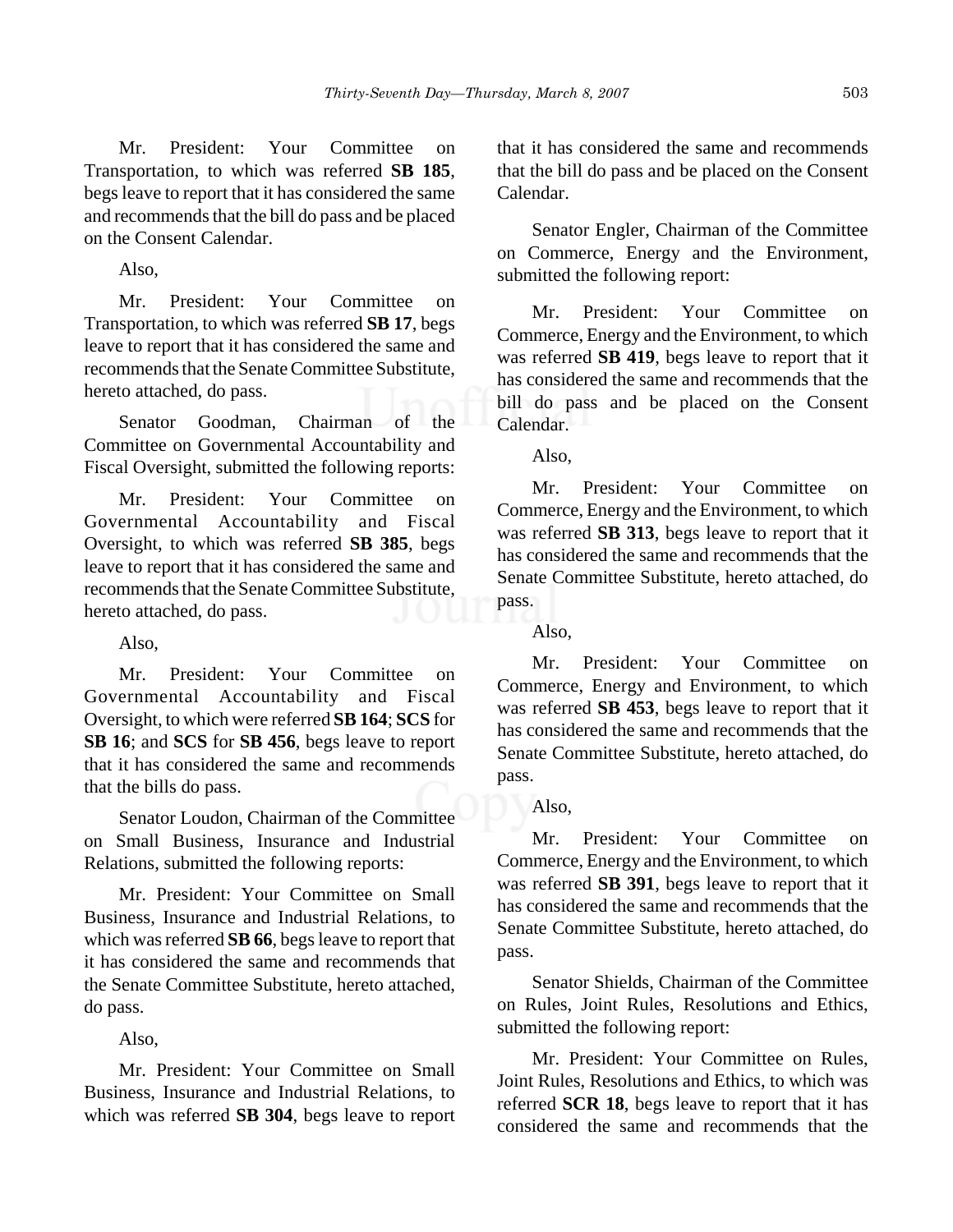Mr. President: Your Committee on Transportation, to which was referred **SB 185**, begs leave to report that it has considered the same and recommends that the bill do pass and be placed on the Consent Calendar.

Also,

Mr. President: Your Committee on Transportation, to which was referred **SB 17**, begs leave to report that it has considered the same and recommends that the Senate Committee Substitute, hereto attached, do pass.

Senator Goodman, Chairman of the Committee on Governmental Accountability and Fiscal Oversight, submitted the following reports:

Mr. President: Your Committee on Governmental Accountability and Fiscal Oversight, to which was referred **SB 385**, begs leave to report that it has considered the same and recommends that the Senate Committee Substitute, hereto attached, do pass.

Also,

Mr. President: Your Committee on Governmental Accountability and Fiscal Oversight, to which were referred **SB 164**; **SCS** for **SB 16**; and **SCS** for **SB 456**, begs leave to report that it has considered the same and recommends that the bills do pass.

Senator Loudon, Chairman of the Committee on Small Business, Insurance and Industrial Relations, submitted the following reports:

Mr. President: Your Committee on Small Business, Insurance and Industrial Relations, to which was referred **SB 66**, begs leave to report that it has considered the same and recommends that the Senate Committee Substitute, hereto attached, do pass.

Also,

Mr. President: Your Committee on Small Business, Insurance and Industrial Relations, to which was referred **SB 304**, begs leave to report that it has considered the same and recommends that the bill do pass and be placed on the Consent Calendar.

Senator Engler, Chairman of the Committee on Commerce, Energy and the Environment, submitted the following report:

Mr. President: Your Committee on Commerce, Energy and the Environment, to which was referred **SB 419**, begs leave to report that it has considered the same and recommends that the bill do pass and be placed on the Consent Calendar.

Also,

Mr. President: Your Committee on Commerce, Energy and the Environment, to which was referred **SB 313**, begs leave to report that it has considered the same and recommends that the Senate Committee Substitute, hereto attached, do pass.

Also,

Mr. President: Your Committee on Commerce, Energy and Environment, to which was referred **SB 453**, begs leave to report that it has considered the same and recommends that the Senate Committee Substitute, hereto attached, do pass.

# Also,

Mr. President: Your Committee on Commerce, Energy and the Environment, to which was referred **SB 391**, begs leave to report that it has considered the same and recommends that the Senate Committee Substitute, hereto attached, do pass.

Senator Shields, Chairman of the Committee on Rules, Joint Rules, Resolutions and Ethics, submitted the following report:

Mr. President: Your Committee on Rules, Joint Rules, Resolutions and Ethics, to which was referred **SCR 18**, begs leave to report that it has considered the same and recommends that the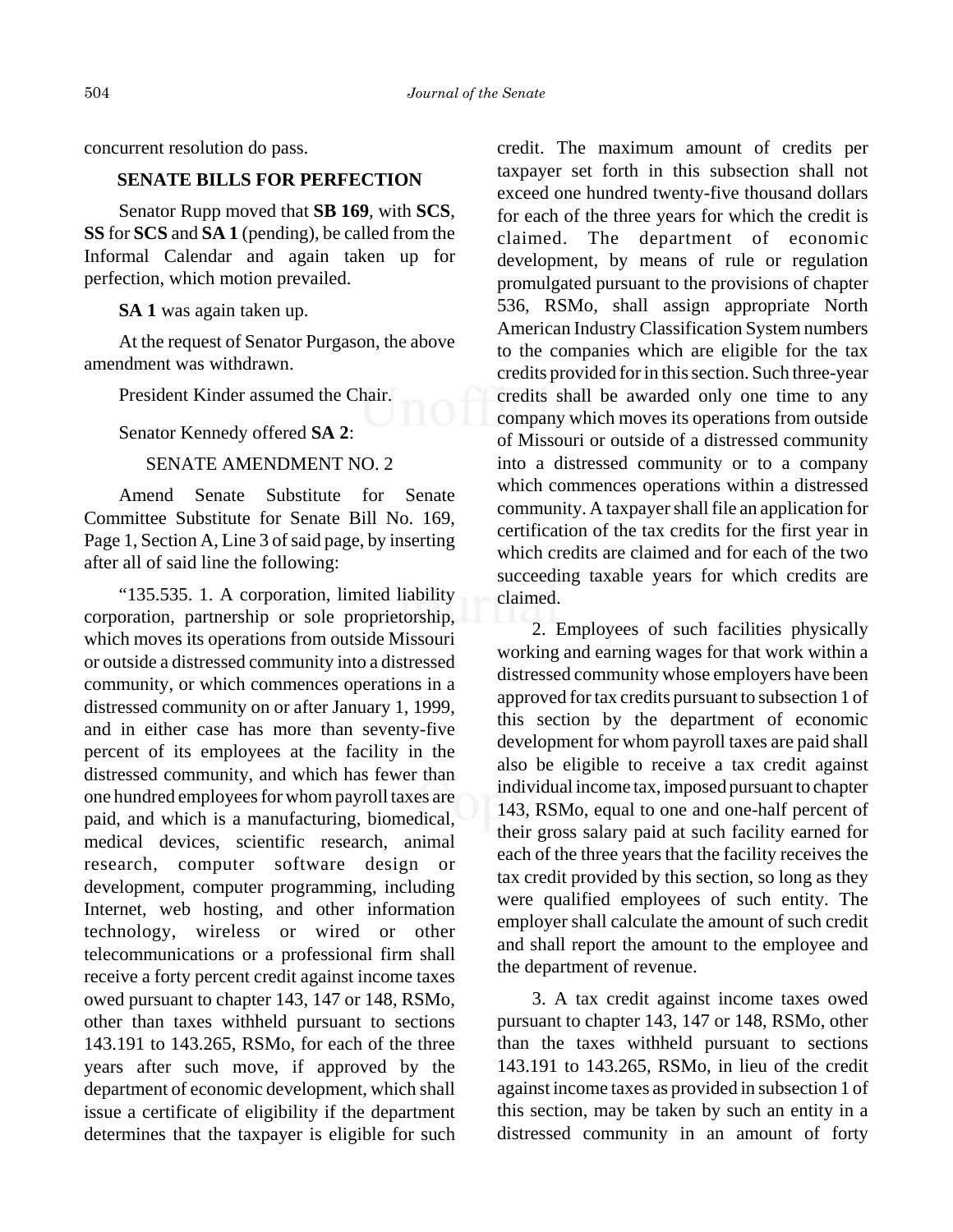concurrent resolution do pass.

# **SENATE BILLS FOR PERFECTION**

Senator Rupp moved that **SB 169**, with **SCS**, **SS** for **SCS** and **SA 1** (pending), be called from the Informal Calendar and again taken up for perfection, which motion prevailed.

#### **SA 1** was again taken up.

At the request of Senator Purgason, the above amendment was withdrawn.

President Kinder assumed the Chair.

Senator Kennedy offered **SA 2**:

# SENATE AMENDMENT NO. 2

Amend Senate Substitute for Senate Committee Substitute for Senate Bill No. 169, Page 1, Section A, Line 3 of said page, by inserting after all of said line the following:

"135.535. 1. A corporation, limited liability corporation, partnership or sole proprietorship, which moves its operations from outside Missouri or outside a distressed community into a distressed community, or which commences operations in a distressed community on or after January 1, 1999, and in either case has more than seventy-five percent of its employees at the facility in the distressed community, and which has fewer than one hundred employees for whom payroll taxes are paid, and which is a manufacturing, biomedical, medical devices, scientific research, animal research, computer software design or development, computer programming, including Internet, web hosting, and other information technology, wireless or wired or other telecommunications or a professional firm shall receive a forty percent credit against income taxes owed pursuant to chapter 143, 147 or 148, RSMo, other than taxes withheld pursuant to sections 143.191 to 143.265, RSMo, for each of the three years after such move, if approved by the department of economic development, which shall issue a certificate of eligibility if the department determines that the taxpayer is eligible for such

credit. The maximum amount of credits per taxpayer set forth in this subsection shall not exceed one hundred twenty-five thousand dollars for each of the three years for which the credit is claimed. The department of economic development, by means of rule or regulation promulgated pursuant to the provisions of chapter 536, RSMo, shall assign appropriate North American Industry Classification System numbers to the companies which are eligible for the tax credits provided for in this section. Such three-year credits shall be awarded only one time to any company which moves its operations from outside of Missouri or outside of a distressed community into a distressed community or to a company which commences operations within a distressed community. A taxpayer shall file an application for certification of the tax credits for the first year in which credits are claimed and for each of the two succeeding taxable years for which credits are claimed.

2. Employees of such facilities physically working and earning wages for that work within a distressed community whose employers have been approved for tax credits pursuant to subsection 1 of this section by the department of economic development for whom payroll taxes are paid shall also be eligible to receive a tax credit against individual income tax, imposed pursuant to chapter 143, RSMo, equal to one and one-half percent of their gross salary paid at such facility earned for each of the three years that the facility receives the tax credit provided by this section, so long as they were qualified employees of such entity. The employer shall calculate the amount of such credit and shall report the amount to the employee and the department of revenue.

3. A tax credit against income taxes owed pursuant to chapter 143, 147 or 148, RSMo, other than the taxes withheld pursuant to sections 143.191 to 143.265, RSMo, in lieu of the credit against income taxes as provided in subsection 1 of this section, may be taken by such an entity in a distressed community in an amount of forty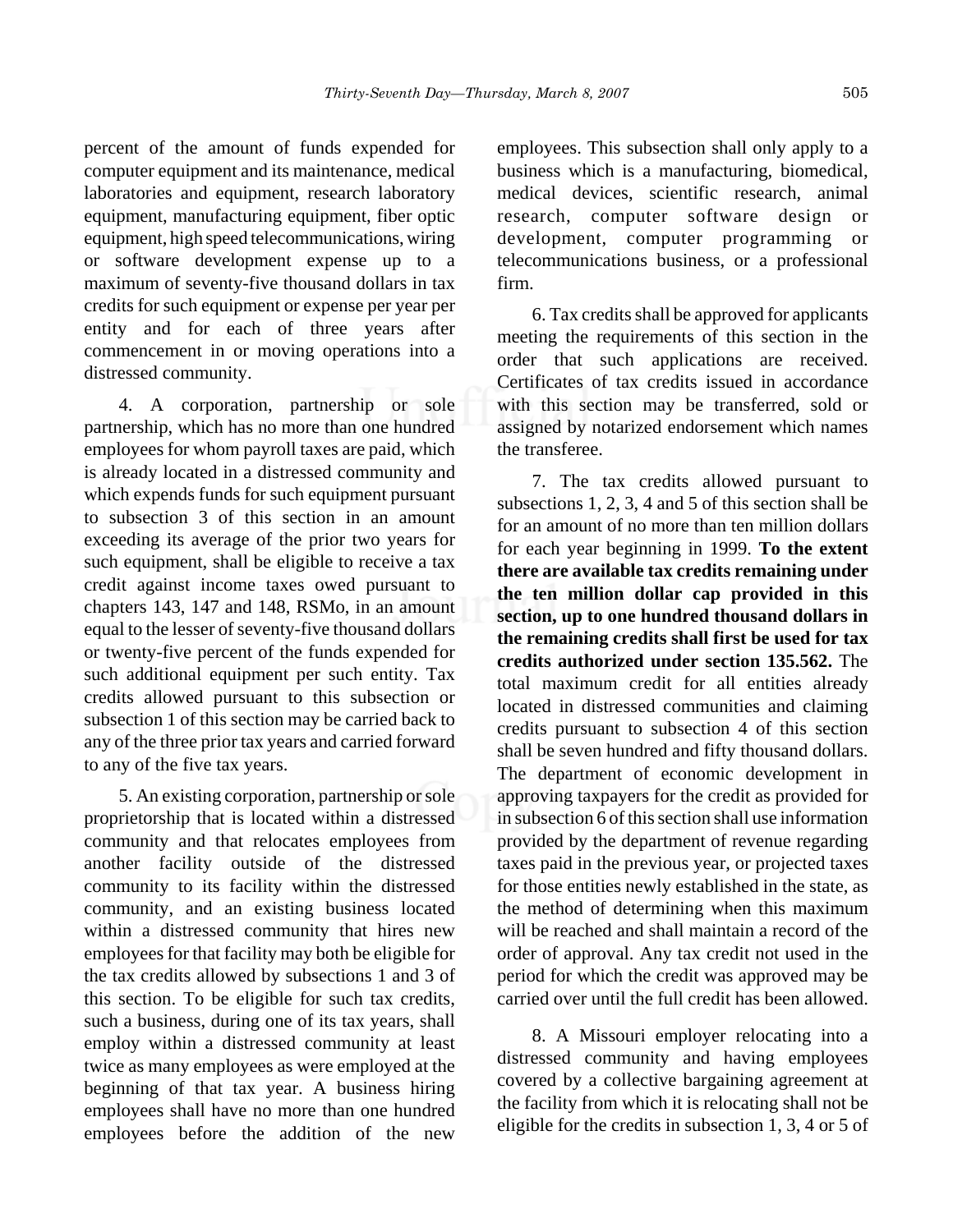percent of the amount of funds expended for computer equipment and its maintenance, medical laboratories and equipment, research laboratory equipment, manufacturing equipment, fiber optic equipment, high speed telecommunications, wiring or software development expense up to a maximum of seventy-five thousand dollars in tax credits for such equipment or expense per year per entity and for each of three years after commencement in or moving operations into a distressed community.

4. A corporation, partnership or sole partnership, which has no more than one hundred employees for whom payroll taxes are paid, which is already located in a distressed community and which expends funds for such equipment pursuant to subsection 3 of this section in an amount exceeding its average of the prior two years for such equipment, shall be eligible to receive a tax credit against income taxes owed pursuant to chapters 143, 147 and 148, RSMo, in an amount equal to the lesser of seventy-five thousand dollars or twenty-five percent of the funds expended for such additional equipment per such entity. Tax credits allowed pursuant to this subsection or subsection 1 of this section may be carried back to any of the three prior tax years and carried forward to any of the five tax years.

5. An existing corporation, partnership or sole proprietorship that is located within a distressed community and that relocates employees from another facility outside of the distressed community to its facility within the distressed community, and an existing business located within a distressed community that hires new employees for that facility may both be eligible for the tax credits allowed by subsections 1 and 3 of this section. To be eligible for such tax credits, such a business, during one of its tax years, shall employ within a distressed community at least twice as many employees as were employed at the beginning of that tax year. A business hiring employees shall have no more than one hundred employees before the addition of the new

employees. This subsection shall only apply to a business which is a manufacturing, biomedical, medical devices, scientific research, animal research, computer software design or development, computer programming or telecommunications business, or a professional firm.

6. Tax credits shall be approved for applicants meeting the requirements of this section in the order that such applications are received. Certificates of tax credits issued in accordance with this section may be transferred, sold or assigned by notarized endorsement which names the transferee.

7. The tax credits allowed pursuant to subsections 1, 2, 3, 4 and 5 of this section shall be for an amount of no more than ten million dollars for each year beginning in 1999. **To the extent there are available tax credits remaining under the ten million dollar cap provided in this section, up to one hundred thousand dollars in the remaining credits shall first be used for tax credits authorized under section 135.562.** The total maximum credit for all entities already located in distressed communities and claiming credits pursuant to subsection 4 of this section shall be seven hundred and fifty thousand dollars. The department of economic development in approving taxpayers for the credit as provided for in subsection 6 of this section shall use information provided by the department of revenue regarding taxes paid in the previous year, or projected taxes for those entities newly established in the state, as the method of determining when this maximum will be reached and shall maintain a record of the order of approval. Any tax credit not used in the period for which the credit was approved may be carried over until the full credit has been allowed.

8. A Missouri employer relocating into a distressed community and having employees covered by a collective bargaining agreement at the facility from which it is relocating shall not be eligible for the credits in subsection 1, 3, 4 or 5 of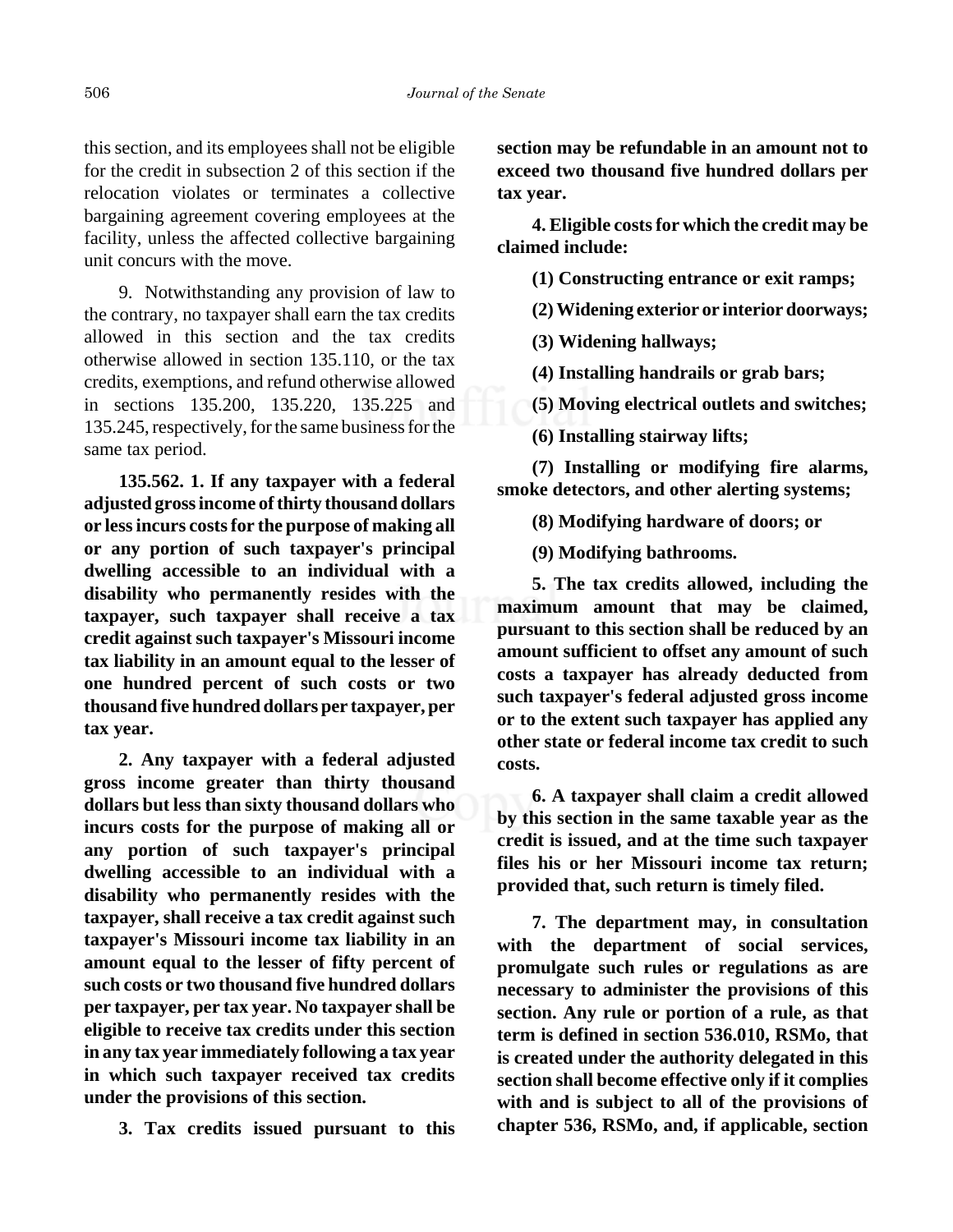this section, and its employees shall not be eligible for the credit in subsection 2 of this section if the relocation violates or terminates a collective bargaining agreement covering employees at the facility, unless the affected collective bargaining unit concurs with the move.

9. Notwithstanding any provision of law to the contrary, no taxpayer shall earn the tax credits allowed in this section and the tax credits otherwise allowed in section 135.110, or the tax credits, exemptions, and refund otherwise allowed in sections 135.200, 135.220, 135.225 and 135.245, respectively, for the same business for the same tax period.

**135.562. 1. If any taxpayer with a federal adjusted gross income of thirty thousand dollars or less incurs costs for the purpose of making all or any portion of such taxpayer's principal dwelling accessible to an individual with a disability who permanently resides with the taxpayer, such taxpayer shall receive a tax credit against such taxpayer's Missouri income tax liability in an amount equal to the lesser of one hundred percent of such costs or two thousand five hundred dollars per taxpayer, per tax year.**

**2. Any taxpayer with a federal adjusted gross income greater than thirty thousand dollars but less than sixty thousand dollars who incurs costs for the purpose of making all or any portion of such taxpayer's principal dwelling accessible to an individual with a disability who permanently resides with the taxpayer, shall receive a tax credit against such taxpayer's Missouri income tax liability in an amount equal to the lesser of fifty percent of such costs or two thousand five hundred dollars per taxpayer, per tax year. No taxpayer shall be eligible to receive tax credits under this section in any tax year immediately following a tax year in which such taxpayer received tax credits under the provisions of this section.**

**3. Tax credits issued pursuant to this**

**section may be refundable in an amount not to exceed two thousand five hundred dollars per tax year.**

**4. Eligible costs for which the credit may be claimed include:**

**(1) Constructing entrance or exit ramps;**

**(2) Widening exterior or interior doorways;**

**(3) Widening hallways;**

**(4) Installing handrails or grab bars;**

**(5) Moving electrical outlets and switches;**

**(6) Installing stairway lifts;**

**(7) Installing or modifying fire alarms, smoke detectors, and other alerting systems;**

**(8) Modifying hardware of doors; or**

**(9) Modifying bathrooms.**

**5. The tax credits allowed, including the maximum amount that may be claimed, pursuant to this section shall be reduced by an amount sufficient to offset any amount of such costs a taxpayer has already deducted from such taxpayer's federal adjusted gross income or to the extent such taxpayer has applied any other state or federal income tax credit to such costs.**

**6. A taxpayer shall claim a credit allowed by this section in the same taxable year as the credit is issued, and at the time such taxpayer files his or her Missouri income tax return; provided that, such return is timely filed.**

**7. The department may, in consultation with the department of social services, promulgate such rules or regulations as are necessary to administer the provisions of this section. Any rule or portion of a rule, as that term is defined in section 536.010, RSMo, that is created under the authority delegated in this section shall become effective only if it complies with and is subject to all of the provisions of chapter 536, RSMo, and, if applicable, section**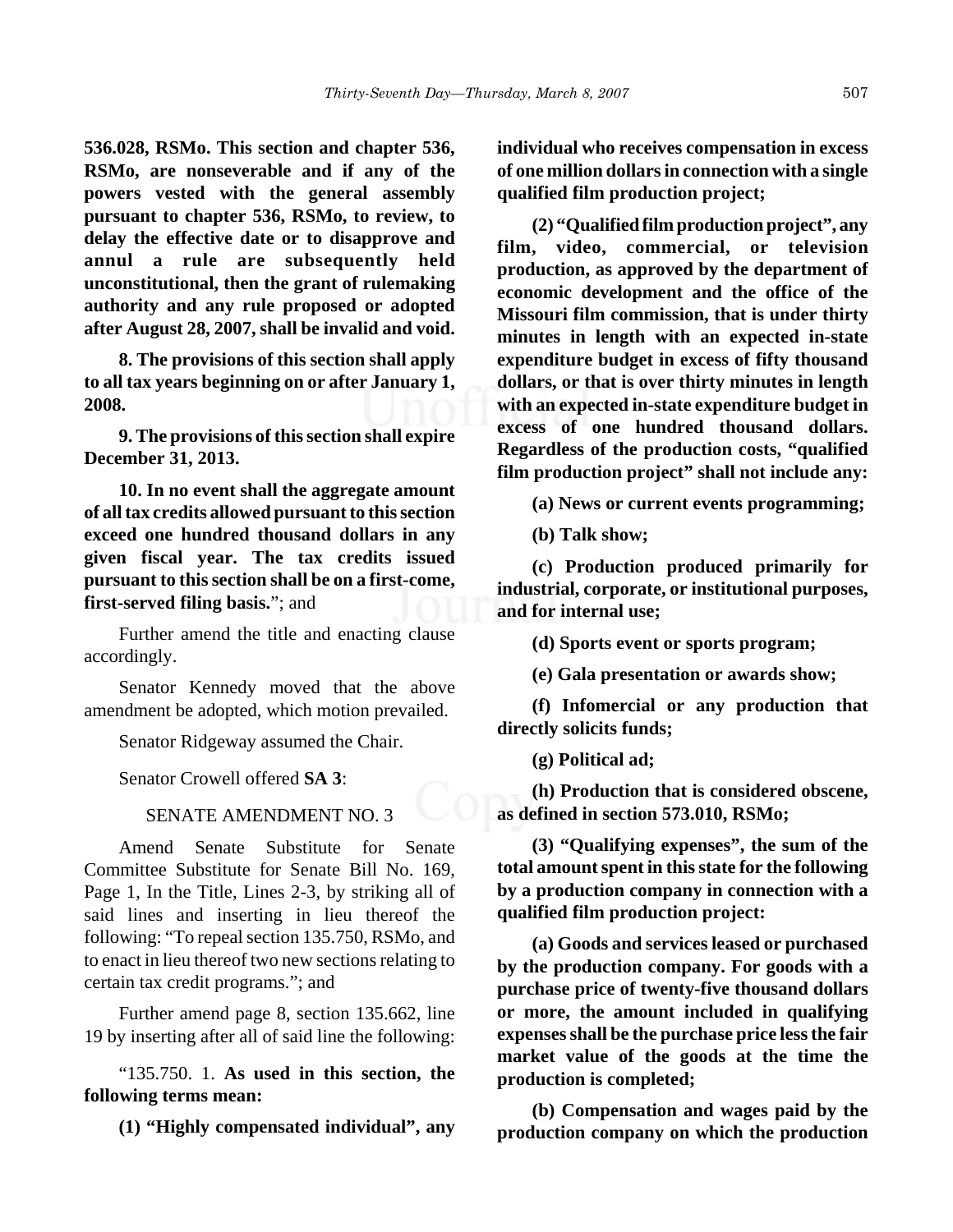**536.028, RSMo. This section and chapter 536, RSMo, are nonseverable and if any of the powers vested with the general assembly pursuant to chapter 536, RSMo, to review, to delay the effective date or to disapprove and annul a rule are subsequently held unconstitutional, then the grant of rulemaking authority and any rule proposed or adopted after August 28, 2007, shall be invalid and void.**

**8. The provisions of this section shall apply to all tax years beginning on or after January 1, 2008.**

**9. The provisions of this section shall expire December 31, 2013.**

**10. In no event shall the aggregate amount of all tax credits allowed pursuant to this section exceed one hundred thousand dollars in any given fiscal year. The tax credits issued pursuant to this section shall be on a first-come, first-served filing basis.**"; and

Further amend the title and enacting clause accordingly.

Senator Kennedy moved that the above amendment be adopted, which motion prevailed.

Senator Ridgeway assumed the Chair.

Senator Crowell offered **SA 3**:

#### SENATE AMENDMENT NO. 3

Amend Senate Substitute for Senate Committee Substitute for Senate Bill No. 169, Page 1, In the Title, Lines 2-3, by striking all of said lines and inserting in lieu thereof the following: "To repeal section 135.750, RSMo, and to enact in lieu thereof two new sections relating to certain tax credit programs."; and

Further amend page 8, section 135.662, line 19 by inserting after all of said line the following:

"135.750. 1. **As used in this section, the following terms mean:**

**(1) "Highly compensated individual", any**

**individual who receives compensation in excess of one million dollars in connection with a single qualified film production project;**

**(2) "Qualified film production project", any film, video, commercial, or television production, as approved by the department of economic development and the office of the Missouri film commission, that is under thirty minutes in length with an expected in-state expenditure budget in excess of fifty thousand dollars, or that is over thirty minutes in length with an expected in-state expenditure budget in excess of one hundred thousand dollars. Regardless of the production costs, "qualified film production project" shall not include any:**

**(a) News or current events programming;**

**(b) Talk show;**

**(c) Production produced primarily for industrial, corporate, or institutional purposes, and for internal use;**

**(d) Sports event or sports program;**

**(e) Gala presentation or awards show;**

**(f) Infomercial or any production that directly solicits funds;**

**(g) Political ad;**

**(h) Production that is considered obscene, as defined in section 573.010, RSMo;**

**(3) "Qualifying expenses", the sum of the total amount spent in this state for the following by a production company in connection with a qualified film production project:**

**(a) Goods and services leased or purchased by the production company. For goods with a purchase price of twenty-five thousand dollars or more, the amount included in qualifying expenses shall be the purchase price less the fair market value of the goods at the time the production is completed;**

**(b) Compensation and wages paid by the production company on which the production**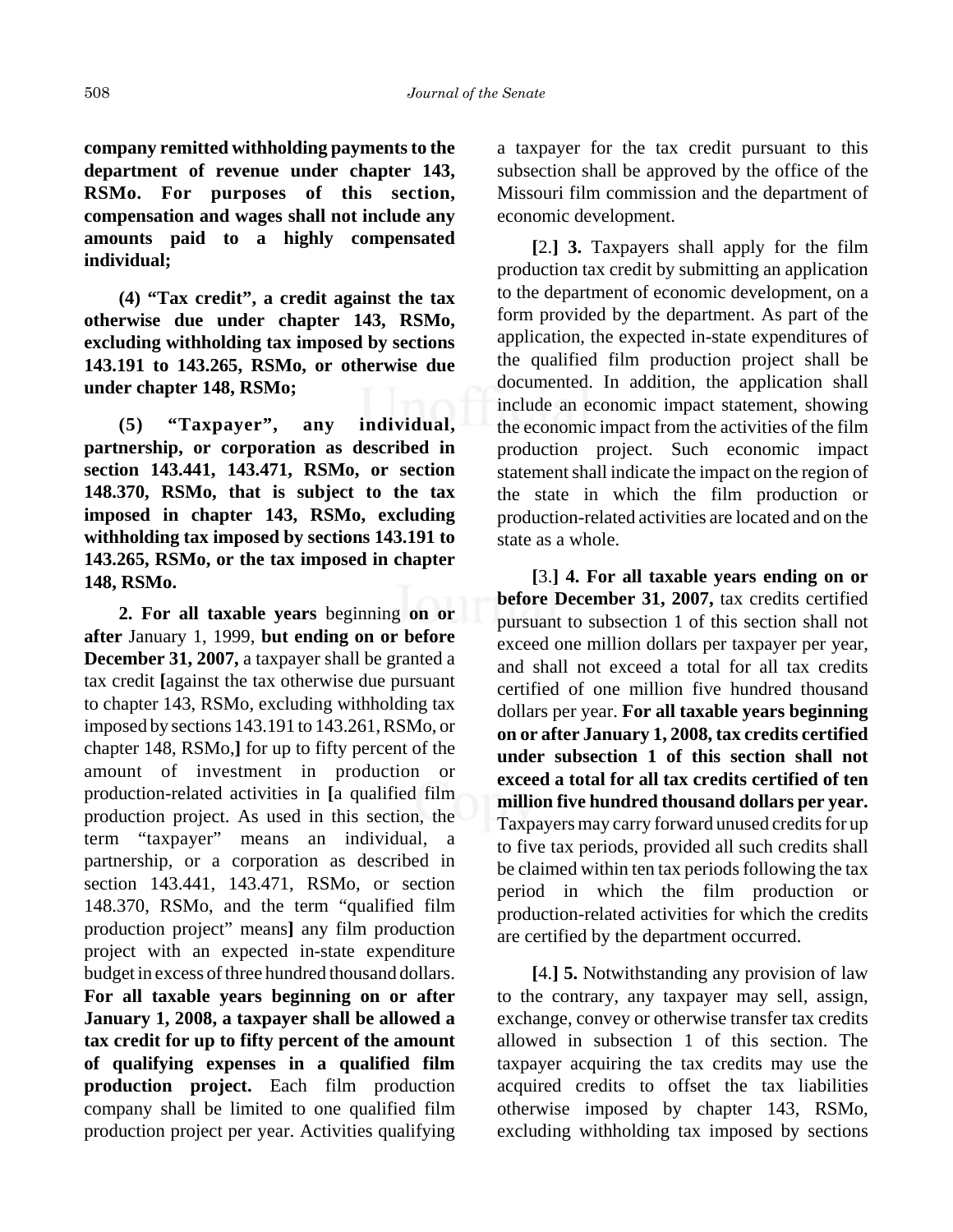**company remitted withholding payments to the department of revenue under chapter 143, RSMo. For purposes of this section, compensation and wages shall not include any amounts paid to a highly compensated individual;**

**(4) "Tax credit", a credit against the tax otherwise due under chapter 143, RSMo, excluding withholding tax imposed by sections 143.191 to 143.265, RSMo, or otherwise due under chapter 148, RSMo;**

**(5) "Taxpayer", any individual, partnership, or corporation as described in section 143.441, 143.471, RSMo, or section 148.370, RSMo, that is subject to the tax imposed in chapter 143, RSMo, excluding withholding tax imposed by sections 143.191 to 143.265, RSMo, or the tax imposed in chapter 148, RSMo.**

**2. For all taxable years** beginning **on or after** January 1, 1999, **but ending on or before December 31, 2007,** a taxpayer shall be granted a tax credit **[**against the tax otherwise due pursuant to chapter 143, RSMo, excluding withholding tax imposed by sections 143.191 to 143.261, RSMo, or chapter 148, RSMo,**]** for up to fifty percent of the amount of investment in production or production-related activities in **[**a qualified film production project. As used in this section, the term "taxpayer" means an individual, a partnership, or a corporation as described in section 143.441, 143.471, RSMo, or section 148.370, RSMo, and the term "qualified film production project" means**]** any film production project with an expected in-state expenditure budget in excess of three hundred thousand dollars. **For all taxable years beginning on or after January 1, 2008, a taxpayer shall be allowed a tax credit for up to fifty percent of the amount of qualifying expenses in a qualified film production project.** Each film production company shall be limited to one qualified film production project per year. Activities qualifying

a taxpayer for the tax credit pursuant to this subsection shall be approved by the office of the Missouri film commission and the department of economic development.

**[**2.**] 3.** Taxpayers shall apply for the film production tax credit by submitting an application to the department of economic development, on a form provided by the department. As part of the application, the expected in-state expenditures of the qualified film production project shall be documented. In addition, the application shall include an economic impact statement, showing the economic impact from the activities of the film production project. Such economic impact statement shall indicate the impact on the region of the state in which the film production or production-related activities are located and on the state as a whole.

**[**3.**] 4. For all taxable years ending on or before December 31, 2007,** tax credits certified pursuant to subsection 1 of this section shall not exceed one million dollars per taxpayer per year, and shall not exceed a total for all tax credits certified of one million five hundred thousand dollars per year. **For all taxable years beginning on or after January 1, 2008, tax credits certified under subsection 1 of this section shall not exceed a total for all tax credits certified of ten million five hundred thousand dollars per year.** Taxpayers may carry forward unused credits for up to five tax periods, provided all such credits shall be claimed within ten tax periods following the tax period in which the film production or production-related activities for which the credits are certified by the department occurred.

**[**4.**] 5.** Notwithstanding any provision of law to the contrary, any taxpayer may sell, assign, exchange, convey or otherwise transfer tax credits allowed in subsection 1 of this section. The taxpayer acquiring the tax credits may use the acquired credits to offset the tax liabilities otherwise imposed by chapter 143, RSMo, excluding withholding tax imposed by sections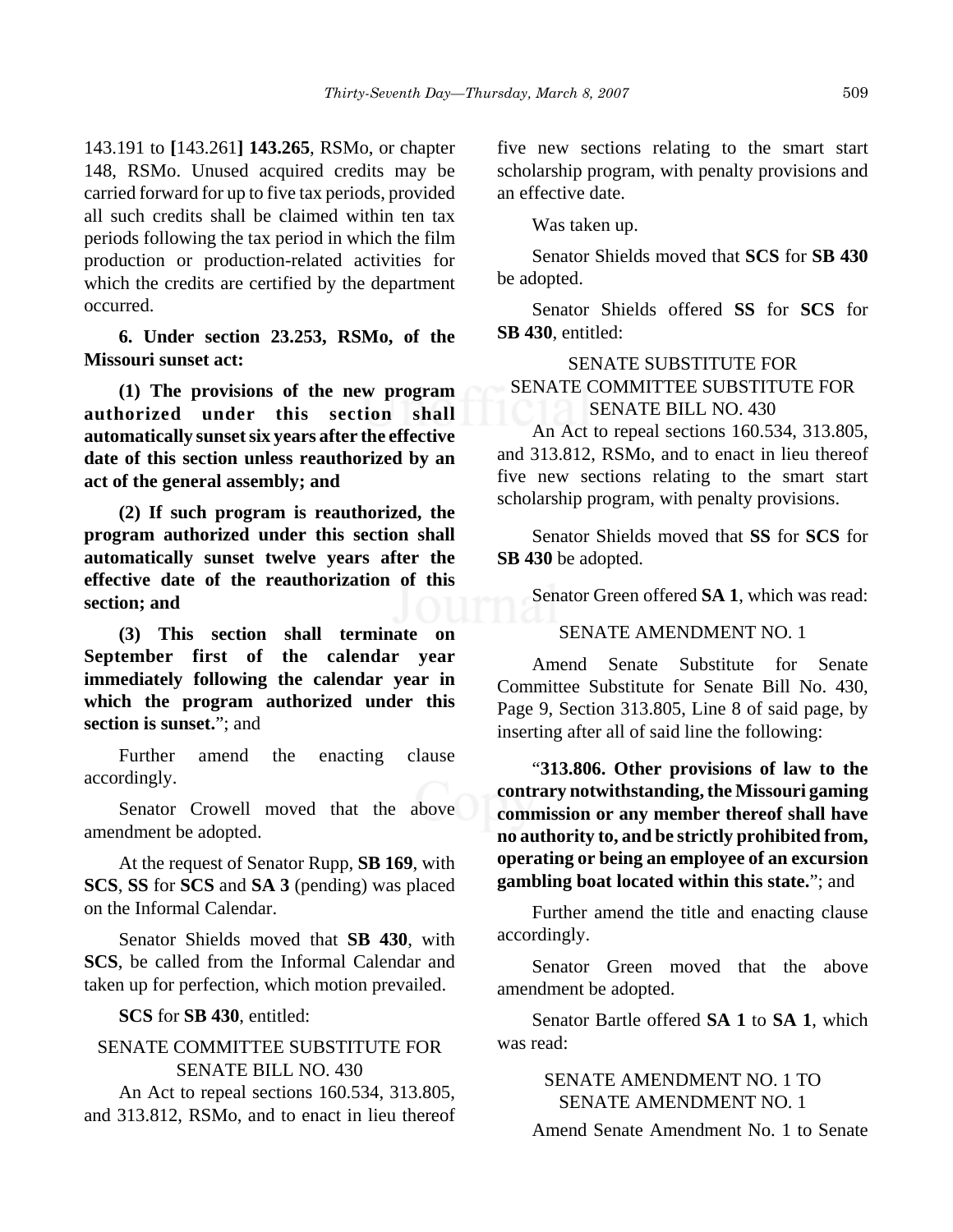143.191 to **[**143.261**] 143.265**, RSMo, or chapter 148, RSMo. Unused acquired credits may be carried forward for up to five tax periods, provided all such credits shall be claimed within ten tax periods following the tax period in which the film production or production-related activities for which the credits are certified by the department occurred.

**6. Under section 23.253, RSMo, of the Missouri sunset act:**

**(1) The provisions of the new program authorized under this section shall automatically sunset six years after the effective date of this section unless reauthorized by an act of the general assembly; and**

**(2) If such program is reauthorized, the program authorized under this section shall automatically sunset twelve years after the effective date of the reauthorization of this section; and**

**(3) This section shall terminate on September first of the calendar year immediately following the calendar year in which the program authorized under this section is sunset.**"; and

Further amend the enacting clause accordingly.

Senator Crowell moved that the above amendment be adopted.

At the request of Senator Rupp, **SB 169**, with **SCS**, **SS** for **SCS** and **SA 3** (pending) was placed on the Informal Calendar.

Senator Shields moved that **SB 430**, with **SCS**, be called from the Informal Calendar and taken up for perfection, which motion prevailed.

#### **SCS** for **SB 430**, entitled:

# SENATE COMMITTEE SUBSTITUTE FOR SENATE BILL NO. 430

An Act to repeal sections 160.534, 313.805, and 313.812, RSMo, and to enact in lieu thereof five new sections relating to the smart start scholarship program, with penalty provisions and an effective date.

Was taken up.

Senator Shields moved that **SCS** for **SB 430** be adopted.

Senator Shields offered **SS** for **SCS** for **SB 430**, entitled:

# SENATE SUBSTITUTE FOR SENATE COMMITTEE SUBSTITUTE FOR SENATE BILL NO. 430

An Act to repeal sections 160.534, 313.805, and 313.812, RSMo, and to enact in lieu thereof five new sections relating to the smart start scholarship program, with penalty provisions.

Senator Shields moved that **SS** for **SCS** for **SB 430** be adopted.

Senator Green offered **SA 1**, which was read:

SENATE AMENDMENT NO. 1

Amend Senate Substitute for Senate Committee Substitute for Senate Bill No. 430, Page 9, Section 313.805, Line 8 of said page, by inserting after all of said line the following:

"**313.806. Other provisions of law to the contrary notwithstanding, the Missouri gaming commission or any member thereof shall have no authority to, and be strictly prohibited from, operating or being an employee of an excursion gambling boat located within this state.**"; and

Further amend the title and enacting clause accordingly.

Senator Green moved that the above amendment be adopted.

Senator Bartle offered **SA 1** to **SA 1**, which was read:

> SENATE AMENDMENT NO. 1 TO SENATE AMENDMENT NO. 1

Amend Senate Amendment No. 1 to Senate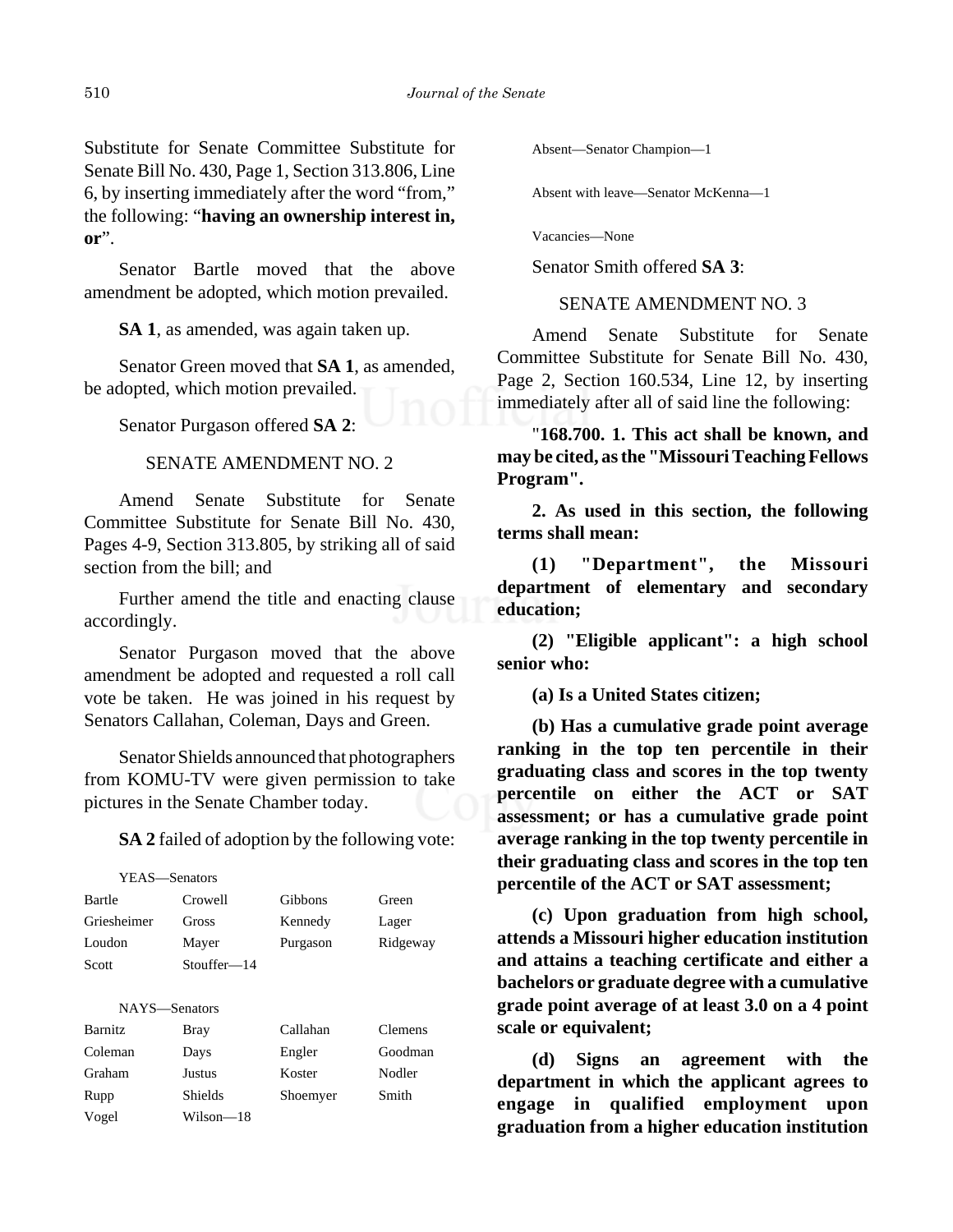Substitute for Senate Committee Substitute for Senate Bill No. 430, Page 1, Section 313.806, Line 6, by inserting immediately after the word "from," the following: "**having an ownership interest in, or**".

Senator Bartle moved that the above amendment be adopted, which motion prevailed.

**SA 1**, as amended, was again taken up.

Senator Green moved that **SA 1**, as amended, be adopted, which motion prevailed.

Senator Purgason offered **SA 2**:

SENATE AMENDMENT NO. 2

Amend Senate Substitute for Senate Committee Substitute for Senate Bill No. 430, Pages 4-9, Section 313.805, by striking all of said section from the bill; and

Further amend the title and enacting clause accordingly.

Senator Purgason moved that the above amendment be adopted and requested a roll call vote be taken. He was joined in his request by Senators Callahan, Coleman, Days and Green.

Senator Shields announced that photographers from KOMU-TV were given permission to take pictures in the Senate Chamber today.

**SA 2** failed of adoption by the following vote:

| YEAS—Senators  |             |          |                |
|----------------|-------------|----------|----------------|
| Bartle         | Crowell     | Gibbons  | Green          |
| Griesheimer    | Gross       | Kennedy  | Lager          |
| Loudon         | Mayer       | Purgason | Ridgeway       |
| Scott          | Stouffer—14 |          |                |
|                |             |          |                |
| NAYS—Senators  |             |          |                |
| <b>Barnitz</b> | Bray        | Callahan | <b>Clemens</b> |
| Coleman        | Days        | Engler   | Goodman        |
| Graham         | Justus      | Koster   | Nodler         |
| Rupp           | Shields     | Shoemyer | Smith          |
| Vogel          | Wilson—18   |          |                |
|                |             |          |                |

Absent—Senator Champion—1

Absent with leave—Senator McKenna—1

Vacancies—None

Senator Smith offered **SA 3**:

SENATE AMENDMENT NO. 3

Amend Senate Substitute for Senate Committee Substitute for Senate Bill No. 430, Page 2, Section 160.534, Line 12, by inserting immediately after all of said line the following:

"**168.700. 1. This act shall be known, and may be cited, as the "Missouri Teaching Fellows Program".**

**2. As used in this section, the following terms shall mean:**

**(1) "Department", the Missouri department of elementary and secondary education;**

**(2) "Eligible applicant": a high school senior who:**

**(a) Is a United States citizen;**

**(b) Has a cumulative grade point average ranking in the top ten percentile in their graduating class and scores in the top twenty percentile on either the ACT or SAT assessment; or has a cumulative grade point average ranking in the top twenty percentile in their graduating class and scores in the top ten percentile of the ACT or SAT assessment;**

**(c) Upon graduation from high school, attends a Missouri higher education institution and attains a teaching certificate and either a bachelors or graduate degree with a cumulative grade point average of at least 3.0 on a 4 point scale or equivalent;**

**(d) Signs an agreement with the department in which the applicant agrees to engage in qualified employment upon graduation from a higher education institution**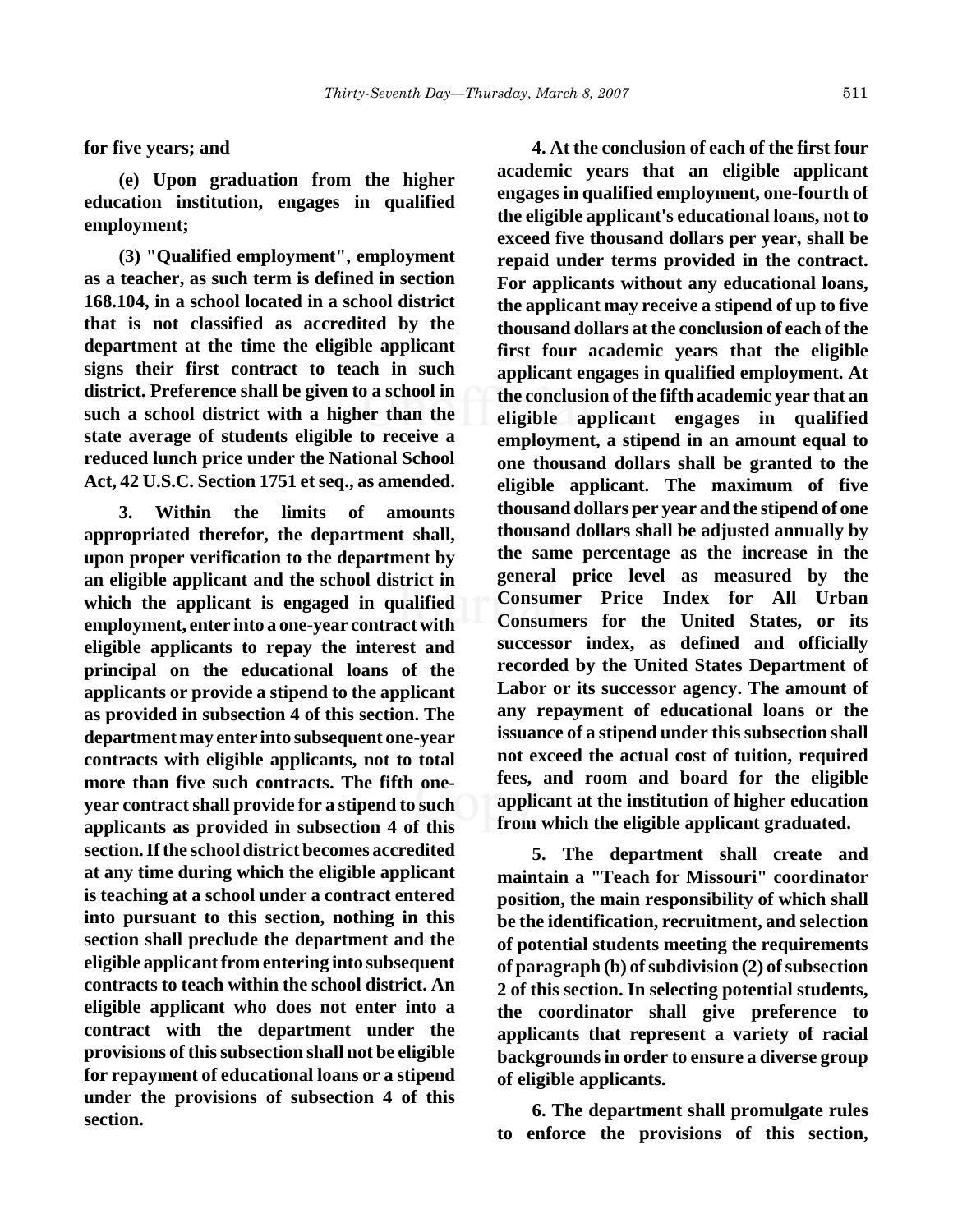**for five years; and**

**(e) Upon graduation from the higher education institution, engages in qualified employment;**

**(3) "Qualified employment", employment as a teacher, as such term is defined in section 168.104, in a school located in a school district that is not classified as accredited by the department at the time the eligible applicant signs their first contract to teach in such district. Preference shall be given to a school in such a school district with a higher than the state average of students eligible to receive a reduced lunch price under the National School Act, 42 U.S.C. Section 1751 et seq., as amended.**

**3. Within the limits of amounts appropriated therefor, the department shall, upon proper verification to the department by an eligible applicant and the school district in which the applicant is engaged in qualified employment, enter into a one-year contract with eligible applicants to repay the interest and principal on the educational loans of the applicants or provide a stipend to the applicant as provided in subsection 4 of this section. The department may enter into subsequent one-year contracts with eligible applicants, not to total more than five such contracts. The fifth oneyear contract shall provide for a stipend to such applicants as provided in subsection 4 of this section. If the school district becomes accredited at any time during which the eligible applicant is teaching at a school under a contract entered into pursuant to this section, nothing in this section shall preclude the department and the eligible applicant from entering into subsequent contracts to teach within the school district. An eligible applicant who does not enter into a contract with the department under the provisions of this subsection shall not be eligible for repayment of educational loans or a stipend under the provisions of subsection 4 of this section.**

**4. At the conclusion of each of the first four academic years that an eligible applicant engages in qualified employment, one-fourth of the eligible applicant's educational loans, not to exceed five thousand dollars per year, shall be repaid under terms provided in the contract. For applicants without any educational loans, the applicant may receive a stipend of up to five thousand dollars at the conclusion of each of the first four academic years that the eligible applicant engages in qualified employment. At the conclusion of the fifth academic year that an eligible applicant engages in qualified employment, a stipend in an amount equal to one thousand dollars shall be granted to the eligible applicant. The maximum of five thousand dollars per year and the stipend of one thousand dollars shall be adjusted annually by the same percentage as the increase in the general price level as measured by the Consumer Price Index for All Urban Consumers for the United States, or its successor index, as defined and officially recorded by the United States Department of Labor or its successor agency. The amount of any repayment of educational loans or the issuance of a stipend under this subsection shall not exceed the actual cost of tuition, required fees, and room and board for the eligible applicant at the institution of higher education from which the eligible applicant graduated.**

**5. The department shall create and maintain a "Teach for Missouri" coordinator position, the main responsibility of which shall be the identification, recruitment, and selection of potential students meeting the requirements of paragraph (b) of subdivision (2) of subsection 2 of this section. In selecting potential students, the coordinator shall give preference to applicants that represent a variety of racial backgrounds in order to ensure a diverse group of eligible applicants.**

**6. The department shall promulgate rules to enforce the provisions of this section,**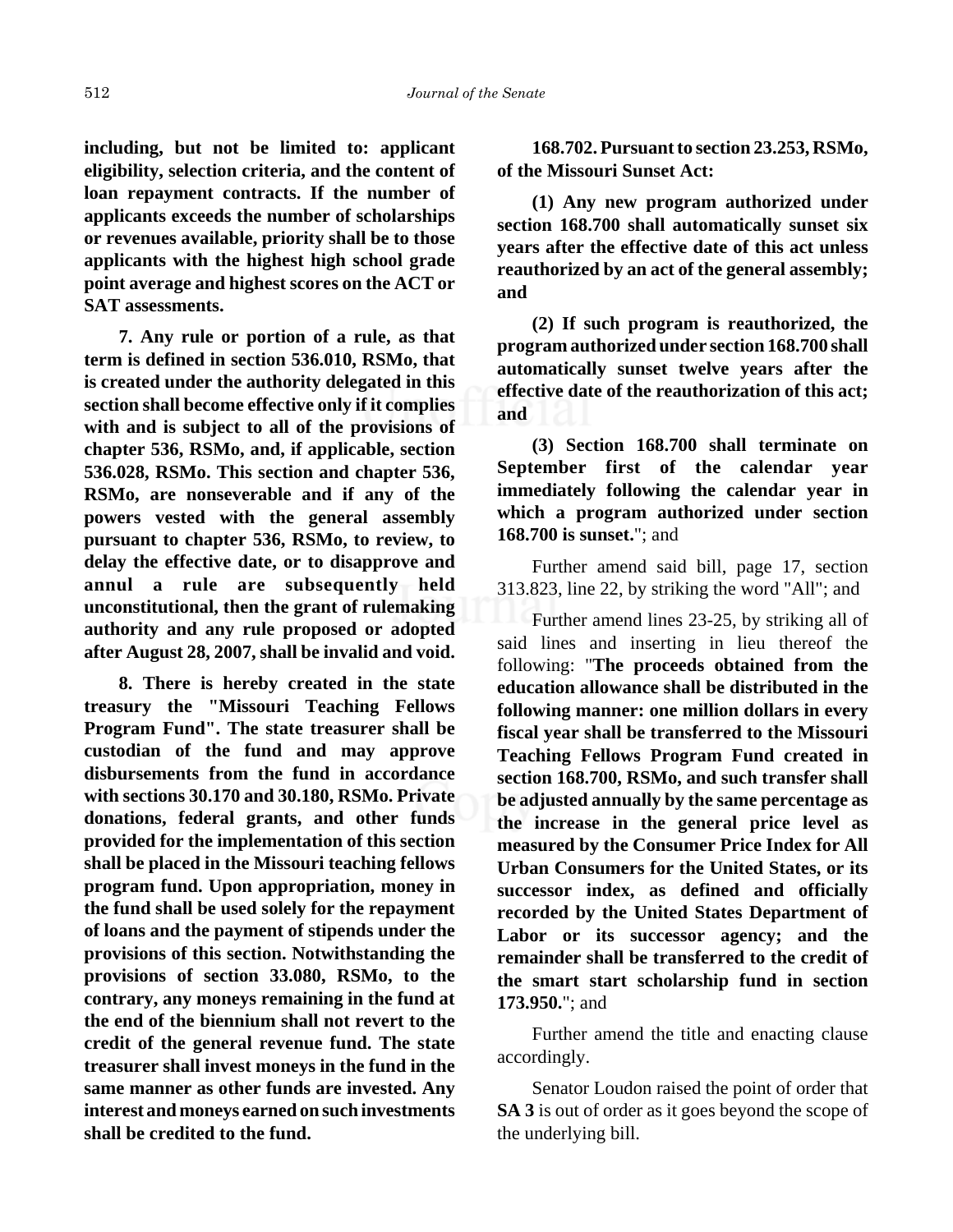**including, but not be limited to: applicant eligibility, selection criteria, and the content of loan repayment contracts. If the number of applicants exceeds the number of scholarships or revenues available, priority shall be to those applicants with the highest high school grade point average and highest scores on the ACT or SAT assessments.**

**7. Any rule or portion of a rule, as that term is defined in section 536.010, RSMo, that is created under the authority delegated in this section shall become effective only if it complies with and is subject to all of the provisions of chapter 536, RSMo, and, if applicable, section 536.028, RSMo. This section and chapter 536, RSMo, are nonseverable and if any of the powers vested with the general assembly pursuant to chapter 536, RSMo, to review, to delay the effective date, or to disapprove and annul a rule are subsequently held unconstitutional, then the grant of rulemaking authority and any rule proposed or adopted after August 28, 2007, shall be invalid and void.**

**8. There is hereby created in the state treasury the "Missouri Teaching Fellows Program Fund". The state treasurer shall be custodian of the fund and may approve disbursements from the fund in accordance with sections 30.170 and 30.180, RSMo. Private donations, federal grants, and other funds provided for the implementation of this section shall be placed in the Missouri teaching fellows program fund. Upon appropriation, money in the fund shall be used solely for the repayment of loans and the payment of stipends under the provisions of this section. Notwithstanding the provisions of section 33.080, RSMo, to the contrary, any moneys remaining in the fund at the end of the biennium shall not revert to the credit of the general revenue fund. The state treasurer shall invest moneys in the fund in the same manner as other funds are invested. Any interest and moneys earned on such investments shall be credited to the fund.**

**168.702. Pursuant to section 23.253, RSMo, of the Missouri Sunset Act:**

**(1) Any new program authorized under section 168.700 shall automatically sunset six years after the effective date of this act unless reauthorized by an act of the general assembly; and**

**(2) If such program is reauthorized, the program authorized under section 168.700 shall automatically sunset twelve years after the effective date of the reauthorization of this act; and**

**(3) Section 168.700 shall terminate on September first of the calendar year immediately following the calendar year in which a program authorized under section 168.700 is sunset.**"; and

Further amend said bill, page 17, section 313.823, line 22, by striking the word "All"; and

Further amend lines 23-25, by striking all of said lines and inserting in lieu thereof the following: "**The proceeds obtained from the education allowance shall be distributed in the following manner: one million dollars in every fiscal year shall be transferred to the Missouri Teaching Fellows Program Fund created in section 168.700, RSMo, and such transfer shall be adjusted annually by the same percentage as the increase in the general price level as measured by the Consumer Price Index for All Urban Consumers for the United States, or its successor index, as defined and officially recorded by the United States Department of Labor or its successor agency; and the remainder shall be transferred to the credit of the smart start scholarship fund in section 173.950.**"; and

Further amend the title and enacting clause accordingly.

Senator Loudon raised the point of order that **SA 3** is out of order as it goes beyond the scope of the underlying bill.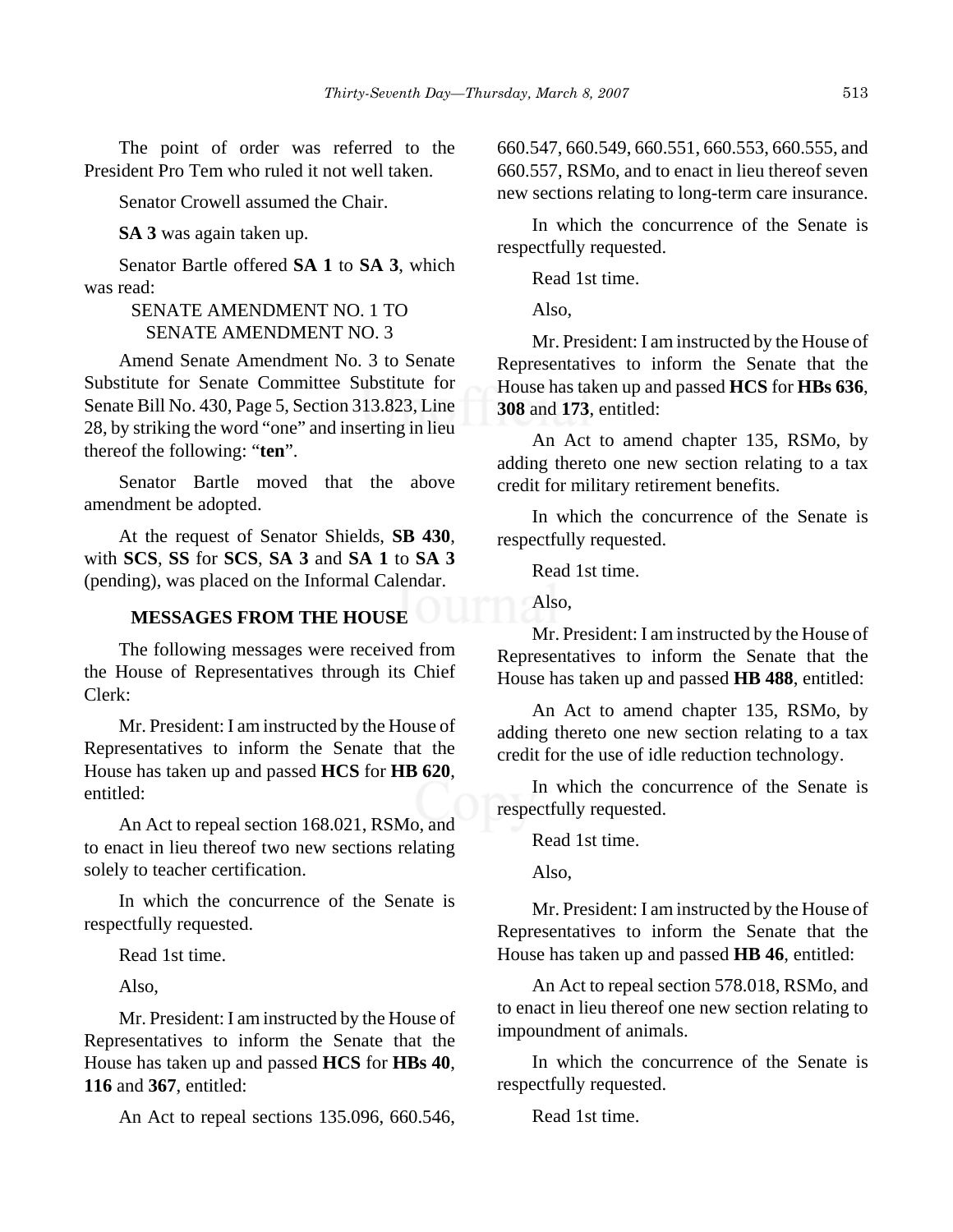The point of order was referred to the President Pro Tem who ruled it not well taken.

Senator Crowell assumed the Chair.

**SA 3** was again taken up.

Senator Bartle offered **SA 1** to **SA 3**, which was read:

# SENATE AMENDMENT NO. 1 TO SENATE AMENDMENT NO. 3

Amend Senate Amendment No. 3 to Senate Substitute for Senate Committee Substitute for Senate Bill No. 430, Page 5, Section 313.823, Line 28, by striking the word "one" and inserting in lieu thereof the following: "**ten**".

Senator Bartle moved that the above amendment be adopted.

At the request of Senator Shields, **SB 430**, with **SCS**, **SS** for **SCS**, **SA 3** and **SA 1** to **SA 3** (pending), was placed on the Informal Calendar.

# **MESSAGES FROM THE HOUSE**

The following messages were received from the House of Representatives through its Chief Clerk:

Mr. President: I am instructed by the House of Representatives to inform the Senate that the House has taken up and passed **HCS** for **HB 620**, entitled:

An Act to repeal section 168.021, RSMo, and to enact in lieu thereof two new sections relating solely to teacher certification.

In which the concurrence of the Senate is respectfully requested.

Read 1st time.

Also,

Mr. President: I am instructed by the House of Representatives to inform the Senate that the House has taken up and passed **HCS** for **HBs 40**, **116** and **367**, entitled:

An Act to repeal sections 135.096, 660.546,

660.547, 660.549, 660.551, 660.553, 660.555, and 660.557, RSMo, and to enact in lieu thereof seven new sections relating to long-term care insurance.

In which the concurrence of the Senate is respectfully requested.

Read 1st time.

Also,

Mr. President: I am instructed by the House of Representatives to inform the Senate that the House has taken up and passed **HCS** for **HBs 636**, **308** and **173**, entitled:

An Act to amend chapter 135, RSMo, by adding thereto one new section relating to a tax credit for military retirement benefits.

In which the concurrence of the Senate is respectfully requested.

Read 1st time.

Also,

Mr. President: I am instructed by the House of Representatives to inform the Senate that the House has taken up and passed **HB 488**, entitled:

An Act to amend chapter 135, RSMo, by adding thereto one new section relating to a tax credit for the use of idle reduction technology.

In which the concurrence of the Senate is respectfully requested.

Read 1st time.

Also,

Mr. President: I am instructed by the House of Representatives to inform the Senate that the House has taken up and passed **HB 46**, entitled:

An Act to repeal section 578.018, RSMo, and to enact in lieu thereof one new section relating to impoundment of animals.

In which the concurrence of the Senate is respectfully requested.

Read 1st time.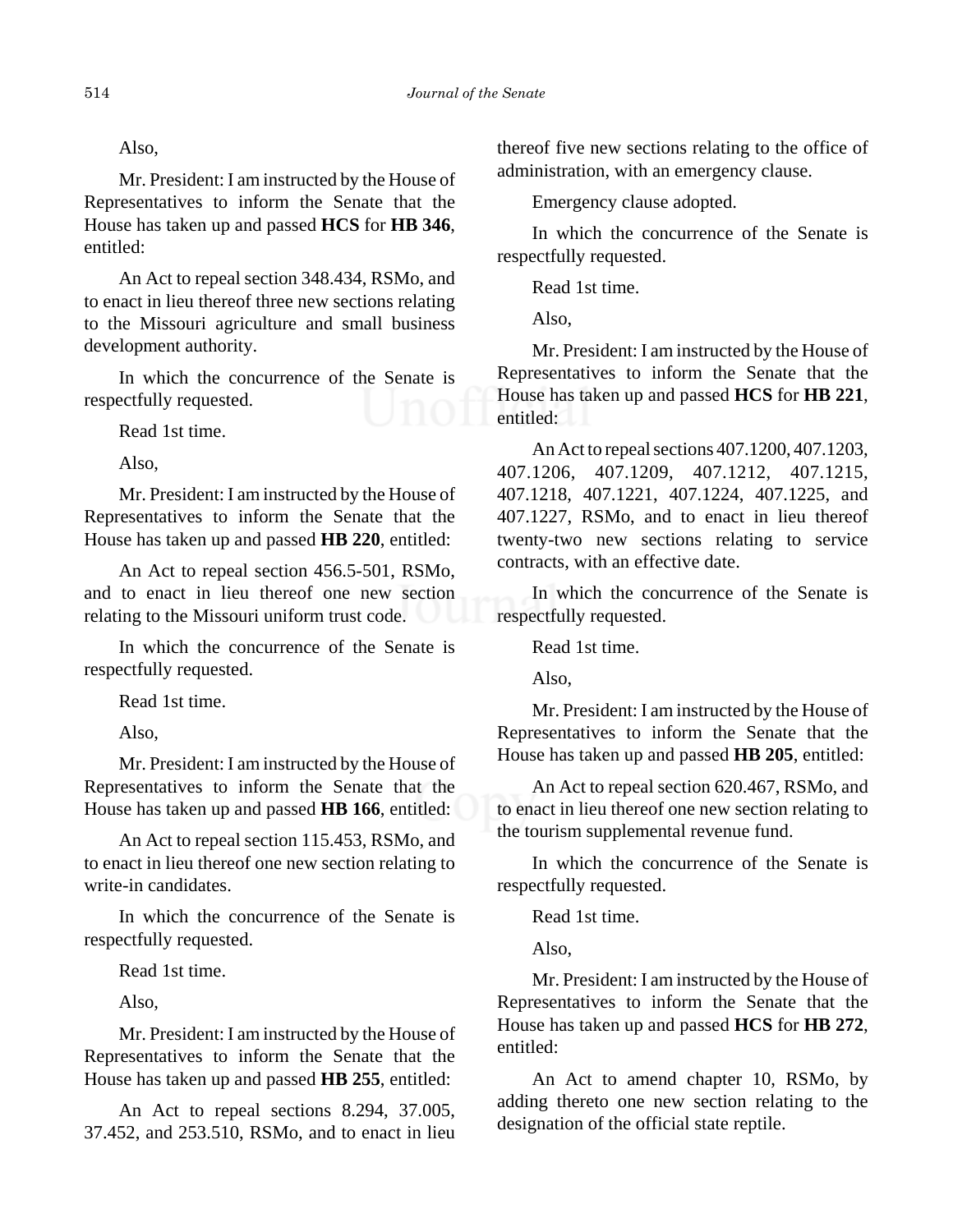# Also,

Mr. President: I am instructed by the House of Representatives to inform the Senate that the House has taken up and passed **HCS** for **HB 346**, entitled:

An Act to repeal section 348.434, RSMo, and to enact in lieu thereof three new sections relating to the Missouri agriculture and small business development authority.

In which the concurrence of the Senate is respectfully requested.

Read 1st time.

Also,

Mr. President: I am instructed by the House of Representatives to inform the Senate that the House has taken up and passed **HB 220**, entitled:

An Act to repeal section 456.5-501, RSMo, and to enact in lieu thereof one new section relating to the Missouri uniform trust code.

In which the concurrence of the Senate is respectfully requested.

Read 1st time.

Also,

Mr. President: I am instructed by the House of Representatives to inform the Senate that the House has taken up and passed **HB 166**, entitled:

An Act to repeal section 115.453, RSMo, and to enact in lieu thereof one new section relating to write-in candidates.

In which the concurrence of the Senate is respectfully requested.

Read 1st time.

Also,

Mr. President: I am instructed by the House of Representatives to inform the Senate that the House has taken up and passed **HB 255**, entitled:

An Act to repeal sections 8.294, 37.005, 37.452, and 253.510, RSMo, and to enact in lieu thereof five new sections relating to the office of administration, with an emergency clause.

Emergency clause adopted.

In which the concurrence of the Senate is respectfully requested.

Read 1st time.

Also,

Mr. President: I am instructed by the House of Representatives to inform the Senate that the House has taken up and passed **HCS** for **HB 221**, entitled:

An Act to repeal sections 407.1200, 407.1203, 407.1206, 407.1209, 407.1212, 407.1215, 407.1218, 407.1221, 407.1224, 407.1225, and 407.1227, RSMo, and to enact in lieu thereof twenty-two new sections relating to service contracts, with an effective date.

In which the concurrence of the Senate is respectfully requested.

Read 1st time.

Also,

Mr. President: I am instructed by the House of Representatives to inform the Senate that the House has taken up and passed **HB 205**, entitled:

An Act to repeal section 620.467, RSMo, and to enact in lieu thereof one new section relating to the tourism supplemental revenue fund.

In which the concurrence of the Senate is respectfully requested.

Read 1st time.

Also,

Mr. President: I am instructed by the House of Representatives to inform the Senate that the House has taken up and passed **HCS** for **HB 272**, entitled:

An Act to amend chapter 10, RSMo, by adding thereto one new section relating to the designation of the official state reptile.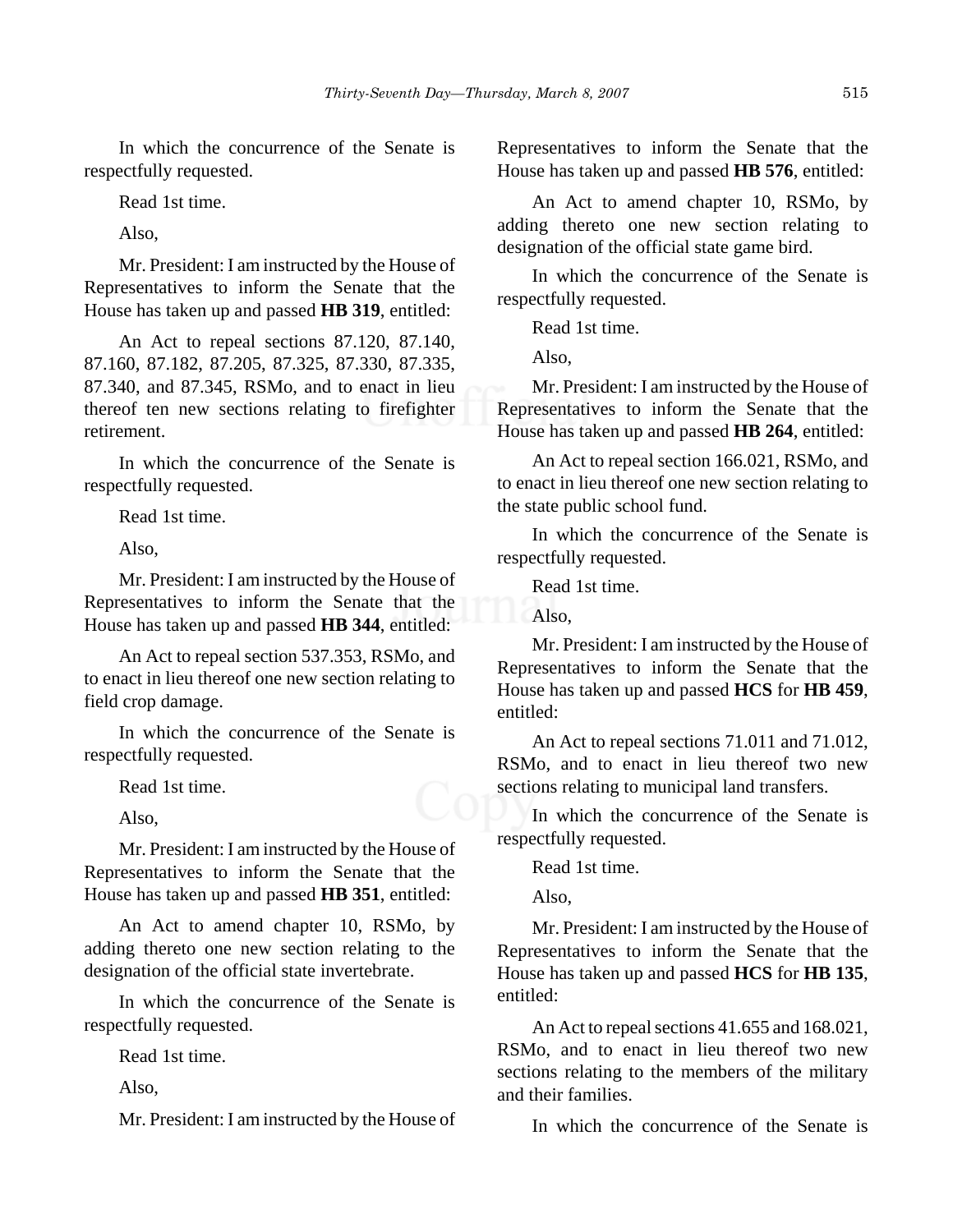In which the concurrence of the Senate is respectfully requested.

Read 1st time.

Also,

Mr. President: I am instructed by the House of Representatives to inform the Senate that the House has taken up and passed **HB 319**, entitled:

An Act to repeal sections 87.120, 87.140, 87.160, 87.182, 87.205, 87.325, 87.330, 87.335, 87.340, and 87.345, RSMo, and to enact in lieu thereof ten new sections relating to firefighter retirement.

In which the concurrence of the Senate is respectfully requested.

Read 1st time.

Also,

Mr. President: I am instructed by the House of Representatives to inform the Senate that the House has taken up and passed **HB 344**, entitled:

An Act to repeal section 537.353, RSMo, and to enact in lieu thereof one new section relating to field crop damage.

In which the concurrence of the Senate is respectfully requested.

Read 1st time.

Also,

Mr. President: I am instructed by the House of Representatives to inform the Senate that the House has taken up and passed **HB 351**, entitled:

An Act to amend chapter 10, RSMo, by adding thereto one new section relating to the designation of the official state invertebrate.

In which the concurrence of the Senate is respectfully requested.

Read 1st time.

Also,

Mr. President: I am instructed by the House of

Representatives to inform the Senate that the House has taken up and passed **HB 576**, entitled:

An Act to amend chapter 10, RSMo, by adding thereto one new section relating to designation of the official state game bird.

In which the concurrence of the Senate is respectfully requested.

Read 1st time.

Also,

Mr. President: I am instructed by the House of Representatives to inform the Senate that the House has taken up and passed **HB 264**, entitled:

An Act to repeal section 166.021, RSMo, and to enact in lieu thereof one new section relating to the state public school fund.

In which the concurrence of the Senate is respectfully requested.

Read 1st time.

Also,

Mr. President: I am instructed by the House of Representatives to inform the Senate that the House has taken up and passed **HCS** for **HB 459**, entitled:

An Act to repeal sections 71.011 and 71.012, RSMo, and to enact in lieu thereof two new sections relating to municipal land transfers.

In which the concurrence of the Senate is respectfully requested.

Read 1st time.

Also,

Mr. President: I am instructed by the House of Representatives to inform the Senate that the House has taken up and passed **HCS** for **HB 135**, entitled:

An Act to repeal sections 41.655 and 168.021, RSMo, and to enact in lieu thereof two new sections relating to the members of the military and their families.

In which the concurrence of the Senate is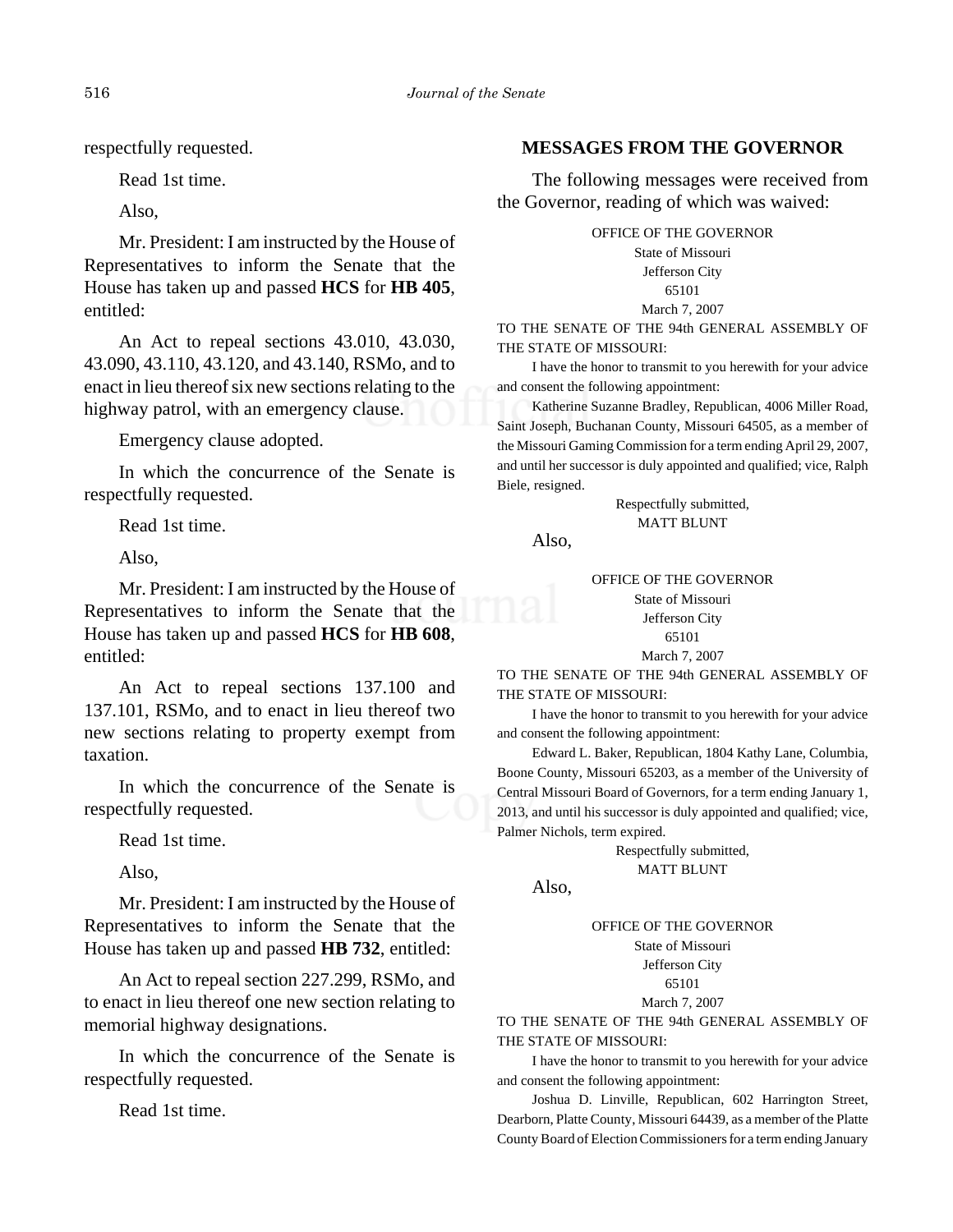respectfully requested.

Read 1st time.

Also,

Mr. President: I am instructed by the House of Representatives to inform the Senate that the House has taken up and passed **HCS** for **HB 405**, entitled:

An Act to repeal sections 43.010, 43.030, 43.090, 43.110, 43.120, and 43.140, RSMo, and to enact in lieu thereof six new sections relating to the highway patrol, with an emergency clause.

Emergency clause adopted.

In which the concurrence of the Senate is respectfully requested.

Read 1st time.

Also,

Mr. President: I am instructed by the House of Representatives to inform the Senate that the House has taken up and passed **HCS** for **HB 608**, entitled:

An Act to repeal sections 137.100 and 137.101, RSMo, and to enact in lieu thereof two new sections relating to property exempt from taxation.

In which the concurrence of the Senate is respectfully requested.

Read 1st time.

Also,

Mr. President: I am instructed by the House of Representatives to inform the Senate that the House has taken up and passed **HB 732**, entitled:

An Act to repeal section 227.299, RSMo, and to enact in lieu thereof one new section relating to memorial highway designations.

In which the concurrence of the Senate is respectfully requested.

Read 1st time.

# **MESSAGES FROM THE GOVERNOR**

The following messages were received from the Governor, reading of which was waived:

OFFICE OF THE GOVERNOR

State of Missouri Jefferson City 65101

March 7, 2007

TO THE SENATE OF THE 94th GENERAL ASSEMBLY OF THE STATE OF MISSOURI:

I have the honor to transmit to you herewith for your advice and consent the following appointment:

Katherine Suzanne Bradley, Republican, 4006 Miller Road, Saint Joseph, Buchanan County, Missouri 64505, as a member of the Missouri Gaming Commission for a term ending April 29, 2007, and until her successor is duly appointed and qualified; vice, Ralph Biele, resigned.

> Respectfully submitted, MATT BLUNT

Also,

OFFICE OF THE GOVERNOR

State of Missouri Jefferson City 65101 March 7, 2007

TO THE SENATE OF THE 94th GENERAL ASSEMBLY OF THE STATE OF MISSOURI:

I have the honor to transmit to you herewith for your advice and consent the following appointment:

Edward L. Baker, Republican, 1804 Kathy Lane, Columbia, Boone County, Missouri 65203, as a member of the University of Central Missouri Board of Governors, for a term ending January 1, 2013, and until his successor is duly appointed and qualified; vice, Palmer Nichols, term expired.

> Respectfully submitted, MATT BLUNT

Also,

OFFICE OF THE GOVERNOR

State of Missouri Jefferson City 65101

March 7, 2007 TO THE SENATE OF THE 94th GENERAL ASSEMBLY OF THE STATE OF MISSOURI:

I have the honor to transmit to you herewith for your advice and consent the following appointment:

Joshua D. Linville, Republican, 602 Harrington Street, Dearborn, Platte County, Missouri 64439, as a member of the Platte County Board of Election Commissioners for a term ending January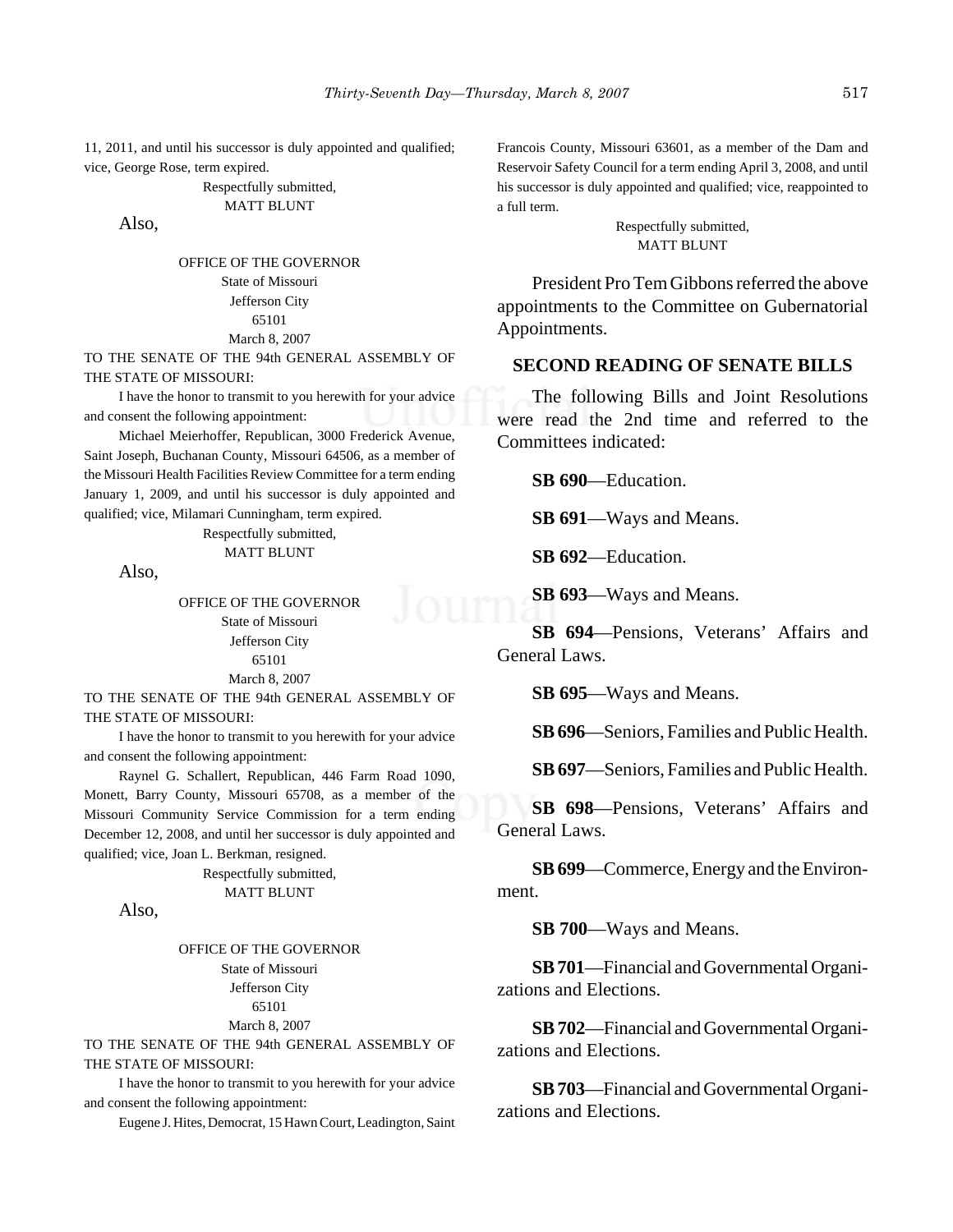11, 2011, and until his successor is duly appointed and qualified; vice, George Rose, term expired.

#### Respectfully submitted, MATT BLUNT

Also,

OFFICE OF THE GOVERNOR State of Missouri Jefferson City 65101 March 8, 2007

TO THE SENATE OF THE 94th GENERAL ASSEMBLY OF THE STATE OF MISSOURI:

I have the honor to transmit to you herewith for your advice and consent the following appointment:

Michael Meierhoffer, Republican, 3000 Frederick Avenue, Saint Joseph, Buchanan County, Missouri 64506, as a member of the Missouri Health Facilities Review Committee for a term ending January 1, 2009, and until his successor is duly appointed and qualified; vice, Milamari Cunningham, term expired.

#### Respectfully submitted, MATT BLUNT

Also,

OFFICE OF THE GOVERNOR State of Missouri Jefferson City 65101 March 8, 2007

TO THE SENATE OF THE 94th GENERAL ASSEMBLY OF THE STATE OF MISSOURI:

I have the honor to transmit to you herewith for your advice and consent the following appointment:

Raynel G. Schallert, Republican, 446 Farm Road 1090, Monett, Barry County, Missouri 65708, as a member of the Missouri Community Service Commission for a term ending December 12, 2008, and until her successor is duly appointed and qualified; vice, Joan L. Berkman, resigned.

> Respectfully submitted, MATT BLUNT

Also,

OFFICE OF THE GOVERNOR State of Missouri Jefferson City 65101 March 8, 2007

TO THE SENATE OF THE 94th GENERAL ASSEMBLY OF THE STATE OF MISSOURI:

I have the honor to transmit to you herewith for your advice and consent the following appointment:

Eugene J. Hites, Democrat, 15 Hawn Court, Leadington, Saint

Francois County, Missouri 63601, as a member of the Dam and Reservoir Safety Council for a term ending April 3, 2008, and until his successor is duly appointed and qualified; vice, reappointed to a full term.

> Respectfully submitted, MATT BLUNT

President Pro Tem Gibbons referred the above appointments to the Committee on Gubernatorial Appointments.

#### **SECOND READING OF SENATE BILLS**

The following Bills and Joint Resolutions were read the 2nd time and referred to the Committees indicated:

**SB 690**—Education.

**SB 691**—Ways and Means.

**SB 692**—Education.

**SB 693**—Ways and Means.

**SB 694**—Pensions, Veterans' Affairs and General Laws.

**SB 695**—Ways and Means.

**SB 696**—Seniors, Families and Public Health.

**SB 697**—Seniors, Families and Public Health.

**SB 698**—Pensions, Veterans' Affairs and General Laws.

**SB 699**—Commerce, Energy and the Environment.

**SB 700**—Ways and Means.

**SB 701**—Financial and Governmental Organizations and Elections.

**SB 702**—Financial and Governmental Organizations and Elections.

**SB 703**—Financial and Governmental Organizations and Elections.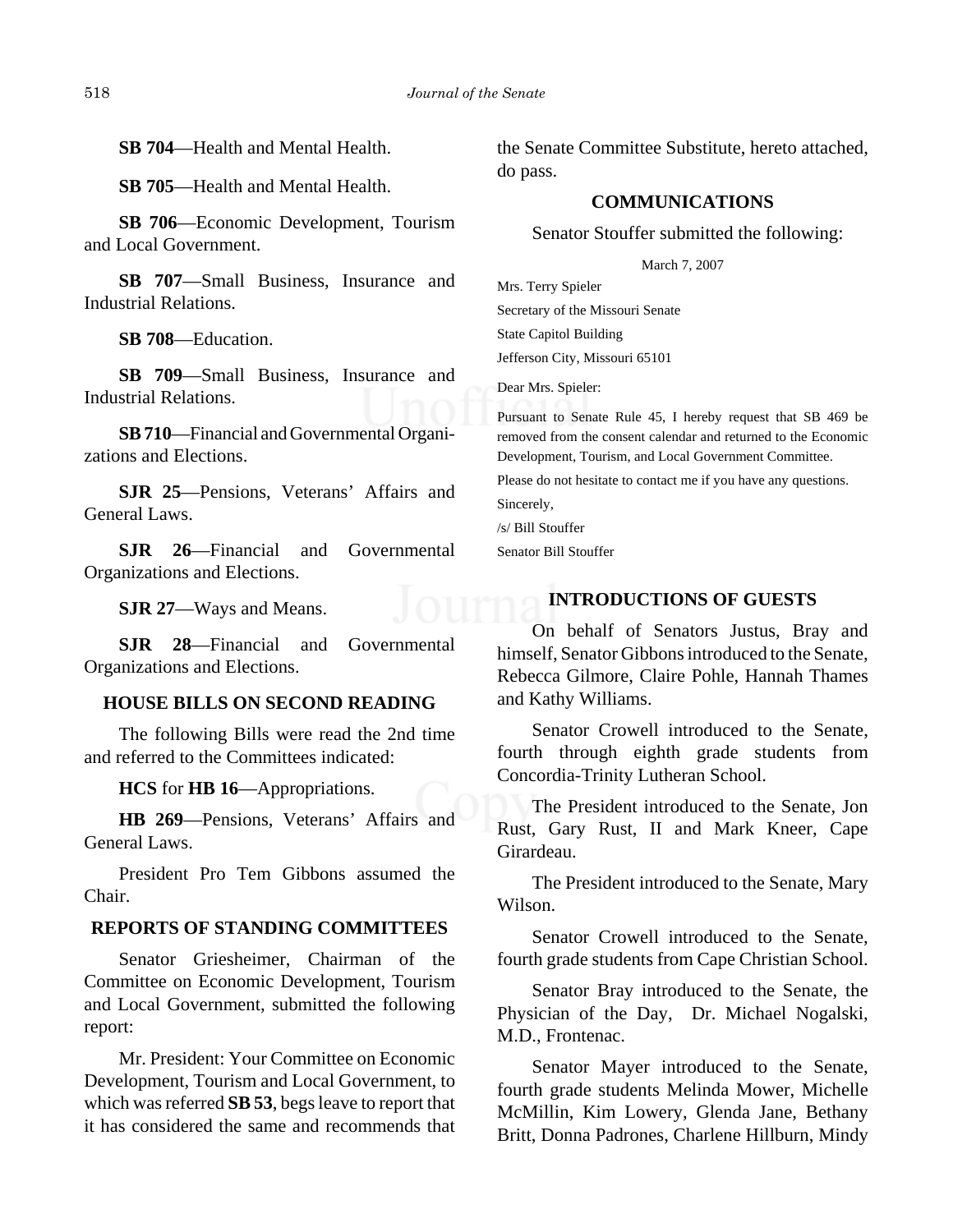**SB 704**—Health and Mental Health.

**SB 705**—Health and Mental Health.

**SB 706**—Economic Development, Tourism and Local Government.

**SB 707**—Small Business, Insurance and Industrial Relations.

**SB 708**—Education.

**SB 709**—Small Business, Insurance and Industrial Relations.

**SB 710**—Financial and Governmental Organizations and Elections.

**SJR 25**—Pensions, Veterans' Affairs and General Laws.

**SJR 26**—Financial and Governmental Organizations and Elections.

**SJR 27**—Ways and Means.

**SJR 28**—Financial and Governmental Organizations and Elections.

# **HOUSE BILLS ON SECOND READING**

The following Bills were read the 2nd time and referred to the Committees indicated:

**HCS** for **HB 16**—Appropriations.

**HB 269**—Pensions, Veterans' Affairs and General Laws.

President Pro Tem Gibbons assumed the Chair.

#### **REPORTS OF STANDING COMMITTEES**

Senator Griesheimer, Chairman of the Committee on Economic Development, Tourism and Local Government, submitted the following report:

Mr. President: Your Committee on Economic Development, Tourism and Local Government, to which was referred **SB 53**, begs leave to report that it has considered the same and recommends that the Senate Committee Substitute, hereto attached, do pass.

# **COMMUNICATIONS**

Senator Stouffer submitted the following:

March 7, 2007

Mrs. Terry Spieler Secretary of the Missouri Senate State Capitol Building Jefferson City, Missouri 65101

Dear Mrs. Spieler:

Pursuant to Senate Rule 45, I hereby request that SB 469 be removed from the consent calendar and returned to the Economic Development, Tourism, and Local Government Committee.

Please do not hesitate to contact me if you have any questions. Sincerely,

/s/ Bill Stouffer

Senator Bill Stouffer

### **INTRODUCTIONS OF GUESTS**

On behalf of Senators Justus, Bray and himself, Senator Gibbons introduced to the Senate, Rebecca Gilmore, Claire Pohle, Hannah Thames and Kathy Williams.

Senator Crowell introduced to the Senate, fourth through eighth grade students from Concordia-Trinity Lutheran School.

The President introduced to the Senate, Jon Rust, Gary Rust, II and Mark Kneer, Cape Girardeau.

The President introduced to the Senate, Mary Wilson.

Senator Crowell introduced to the Senate, fourth grade students from Cape Christian School.

Senator Bray introduced to the Senate, the Physician of the Day, Dr. Michael Nogalski, M.D., Frontenac.

Senator Mayer introduced to the Senate, fourth grade students Melinda Mower, Michelle McMillin, Kim Lowery, Glenda Jane, Bethany Britt, Donna Padrones, Charlene Hillburn, Mindy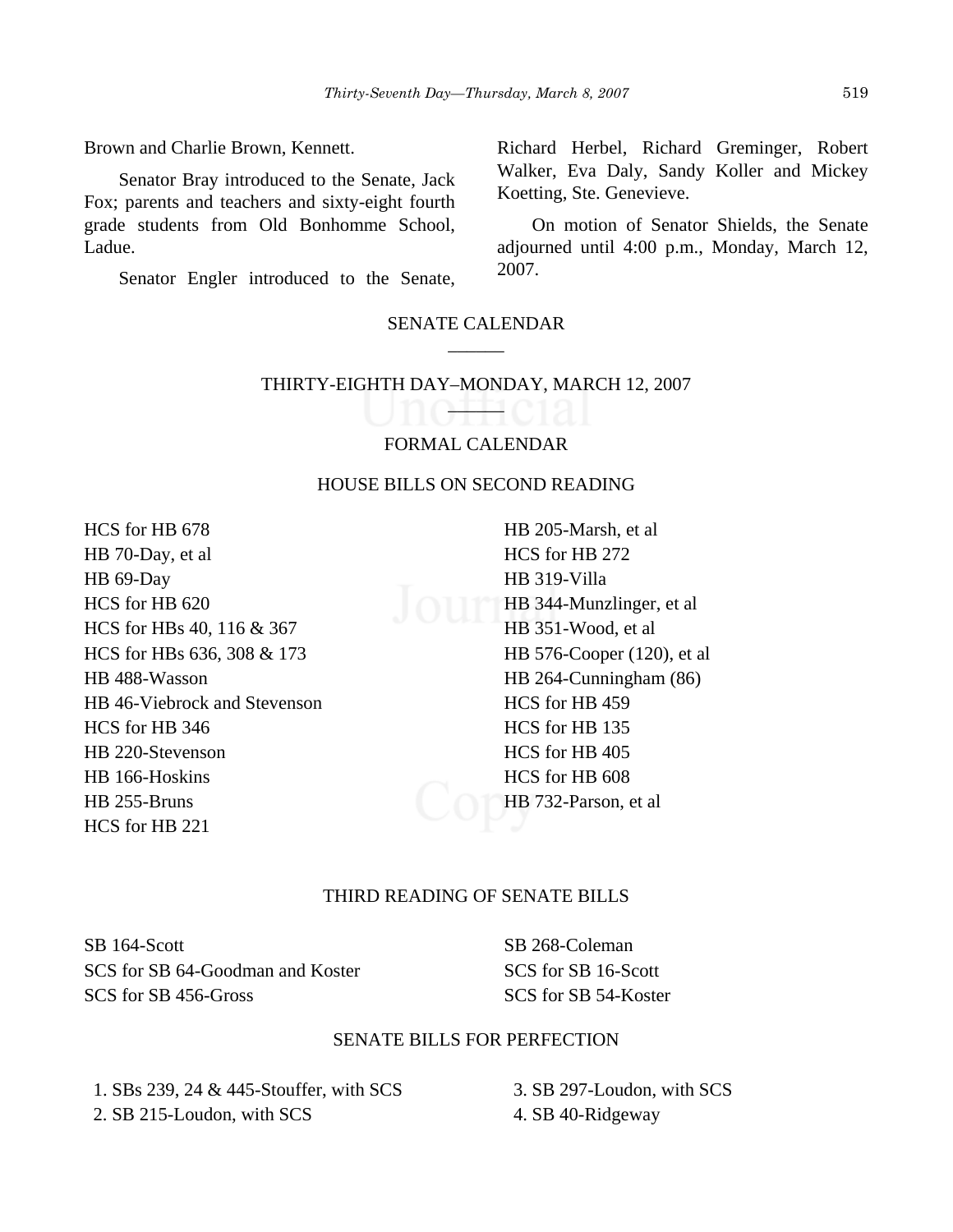Brown and Charlie Brown, Kennett.

Senator Bray introduced to the Senate, Jack Fox; parents and teachers and sixty-eight fourth grade students from Old Bonhomme School, Ladue.

Senator Engler introduced to the Senate,

#### SENATE CALENDAR \_\_\_\_\_\_

# THIRTY-EIGHTH DAY–MONDAY, MARCH 12, 2007

 $\sqrt{11111}$ 

# FORMAL CALENDAR

#### HOUSE BILLS ON SECOND READING

HCS for HB 678 HB 70-Day, et al HB 69-Day HCS for HB 620 HCS for HBs 40, 116 & 367 HCS for HBs 636, 308 & 173 HB 488-Wasson HB 46-Viebrock and Stevenson HCS for HB 346 HB 220-Stevenson HB 166-Hoskins HB 255-Bruns HCS for HB 221

HB 205-Marsh, et al HCS for HB 272 HB 319-Villa HB 344-Munzlinger, et al HB 351-Wood, et al HB 576-Cooper (120), et al HB 264-Cunningham (86) HCS for HB 459 HCS for HB 135 HCS for HB 405 HCS for HB 608 HB 732-Parson, et al

# THIRD READING OF SENATE BILLS

SB 164-Scott SCS for SB 64-Goodman and Koster SCS for SB 456-Gross

SB 268-Coleman SCS for SB 16-Scott SCS for SB 54-Koster

#### SENATE BILLS FOR PERFECTION

 1. SBs 239, 24 & 445-Stouffer, with SCS 2. SB 215-Loudon, with SCS

 3. SB 297-Loudon, with SCS 4. SB 40-Ridgeway

Richard Herbel, Richard Greminger, Robert Walker, Eva Daly, Sandy Koller and Mickey Koetting, Ste. Genevieve.

On motion of Senator Shields, the Senate adjourned until 4:00 p.m., Monday, March 12, 2007.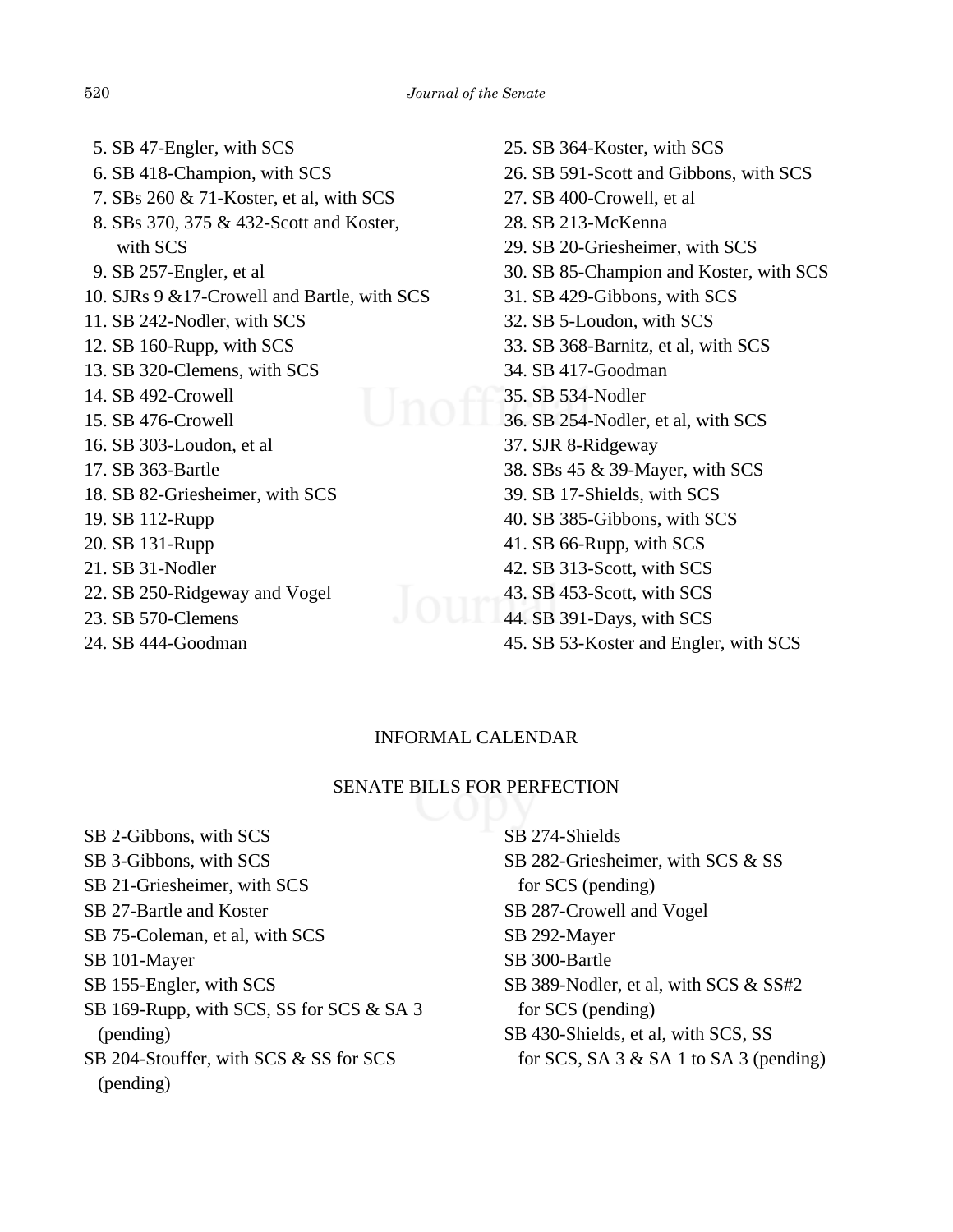6. SB 418-Champion, with SCS 7. SBs 260 & 71-Koster, et al, with SCS 8. SBs 370, 375 & 432-Scott and Koster, with SCS 9. SB 257-Engler, et al 10. SJRs 9 &17-Crowell and Bartle, with SCS 11. SB 242-Nodler, with SCS 12. SB 160-Rupp, with SCS 13. SB 320-Clemens, with SCS 14. SB 492-Crowell 15. SB 476-Crowell 16. SB 303-Loudon, et al 17. SB 363-Bartle 18. SB 82-Griesheimer, with SCS 19. SB 112-Rupp 20. SB 131-Rupp 21. SB 31-Nodler 22. SB 250-Ridgeway and Vogel 23. SB 570-Clemens 24. SB 444-Goodman

5. SB 47-Engler, with SCS

25. SB 364-Koster, with SCS 26. SB 591-Scott and Gibbons, with SCS 27. SB 400-Crowell, et al 28. SB 213-McKenna 29. SB 20-Griesheimer, with SCS 30. SB 85-Champion and Koster, with SCS 31. SB 429-Gibbons, with SCS 32. SB 5-Loudon, with SCS 33. SB 368-Barnitz, et al, with SCS 34. SB 417-Goodman 35. SB 534-Nodler 36. SB 254-Nodler, et al, with SCS 37. SJR 8-Ridgeway 38. SBs 45 & 39-Mayer, with SCS 39. SB 17-Shields, with SCS 40. SB 385-Gibbons, with SCS 41. SB 66-Rupp, with SCS 42. SB 313-Scott, with SCS 43. SB 453-Scott, with SCS 44. SB 391-Days, with SCS 45. SB 53-Koster and Engler, with SCS

# INFORMAL CALENDAR

#### SENATE BILLS FOR PERFECTION

SB 2-Gibbons, with SCS SB 3-Gibbons, with SCS SB 21-Griesheimer, with SCS SB 27-Bartle and Koster SB 75-Coleman, et al, with SCS SB 101-Mayer SB 155-Engler, with SCS SB 169-Rupp, with SCS, SS for SCS & SA 3 (pending) SB 204-Stouffer, with SCS & SS for SCS (pending)

| SB 274-Shields                                |
|-----------------------------------------------|
| SB 282-Griesheimer, with SCS & SS             |
| for SCS (pending)                             |
| SB 287-Crowell and Vogel                      |
| SB 292-Mayer                                  |
| SB 300-Bartle                                 |
| SB 389-Nodler, et al, with SCS & SS#2         |
| for SCS (pending)                             |
| SB 430-Shields, et al, with SCS, SS           |
| for SCS, SA $3 \&$ SA $1$ to SA $3$ (pending) |
|                                               |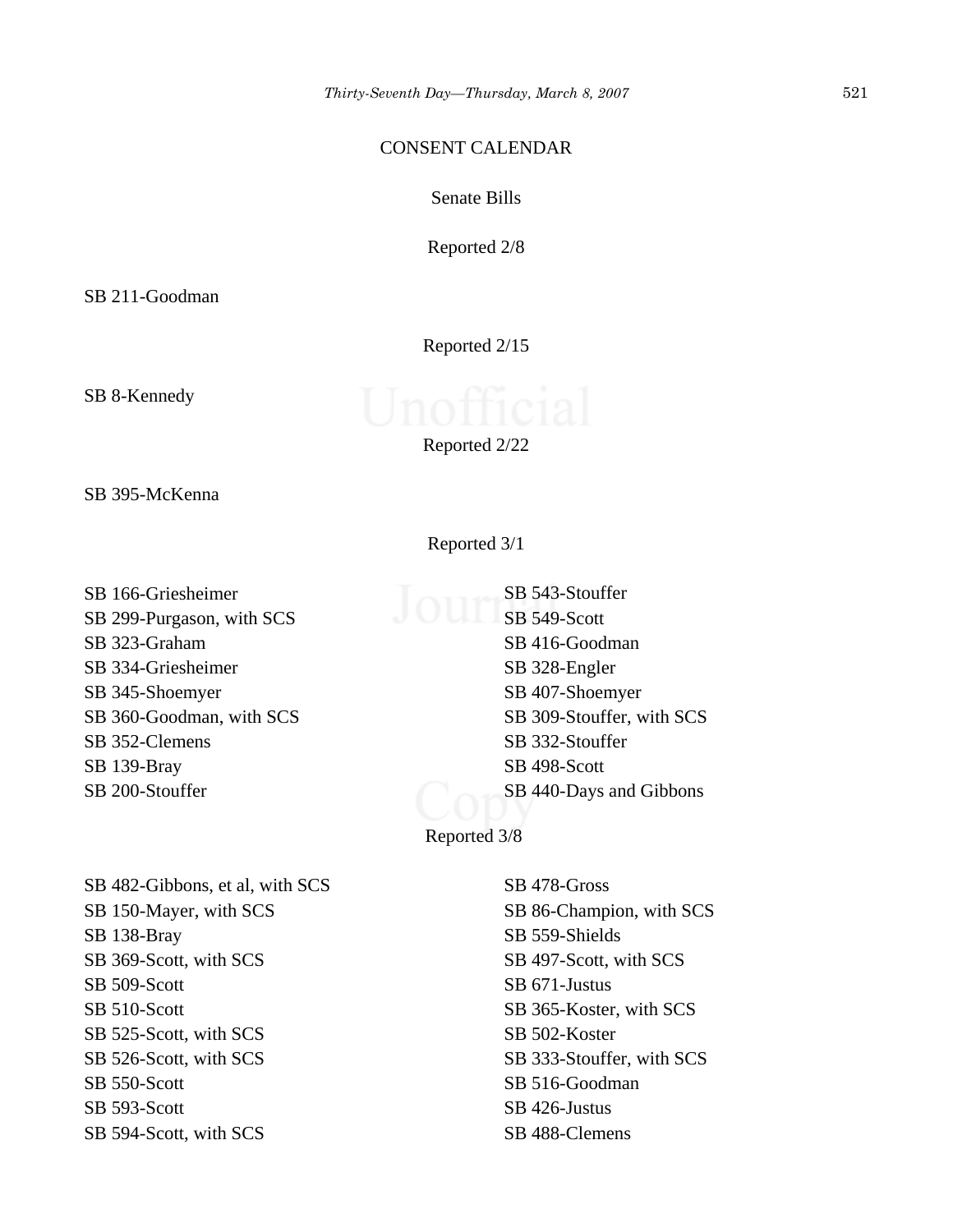#### CONSENT CALENDAR

Senate Bills

Reported 2/8

SB 211-Goodman

Reported 2/15

SB 8-Kennedy

| Reported 2/22 |  |
|---------------|--|
|---------------|--|

SB 395-McKenna

SB 166-Griesheimer SB 299-Purgason, with SCS SB 323-Graham SB 334-Griesheimer SB 345-Shoemyer SB 360-Goodman, with SCS SB 352-Clemens SB 139-Bray SB 200-Stouffer

SB 482-Gibbons, et al, with SCS SB 150-Mayer, with SCS SB 138-Bray SB 369-Scott, with SCS SB 509-Scott SB 510-Scott SB 525-Scott, with SCS SB 526-Scott, with SCS SB 550-Scott SB 593-Scott SB 594-Scott, with SCS

Reported 3/1

SB 543-Stouffer SB 549-Scott SB 416-Goodman SB 328-Engler SB 407-Shoemyer SB 309-Stouffer, with SCS SB 332-Stouffer SB 498-Scott SB 440-Days and Gibbons

Reported 3/8

SB 478-Gross SB 86-Champion, with SCS SB 559-Shields SB 497-Scott, with SCS SB 671-Justus SB 365-Koster, with SCS SB 502-Koster SB 333-Stouffer, with SCS SB 516-Goodman SB 426-Justus SB 488-Clemens